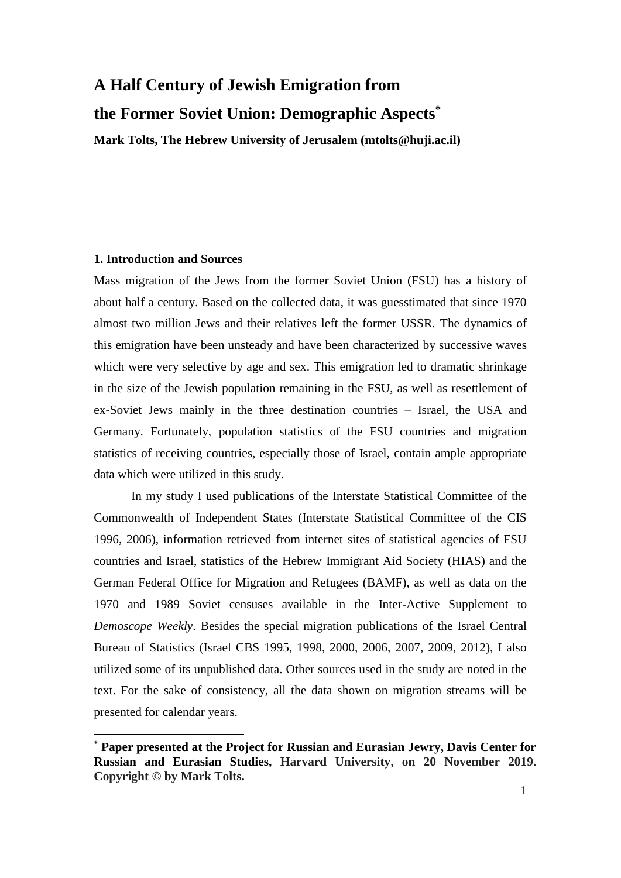# **A Half Century of Jewish Emigration from the Former Soviet Union: Demographic Aspects\***

**Mark Tolts, The Hebrew University of Jerusalem (mtolts@huji.ac.il)**

# **1. Introduction and Sources**

<u>.</u>

Mass migration of the Jews from the former Soviet Union (FSU) has a history of about half a century. Based on the collected data, it was guesstimated that since 1970 almost two million Jews and their relatives left the former USSR. The dynamics of this emigration have been unsteady and have been characterized by successive waves which were very selective by age and sex. This emigration led to dramatic shrinkage in the size of the Jewish population remaining in the FSU, as well as resettlement of ex-Soviet Jews mainly in the three destination countries – Israel, the USA and Germany. Fortunately, population statistics of the FSU countries and migration statistics of receiving countries, especially those of Israel, contain ample appropriate data which were utilized in this study.

In my study I used publications of the Interstate Statistical Committee of the Commonwealth of Independent States (Interstate Statistical Committee of the CIS 1996, 2006), information retrieved from internet sites of statistical agencies of FSU countries and Israel, statistics of the Hebrew Immigrant Aid Society (HIAS) and the German Federal Office for Migration and Refugees (BAMF), as well as data on the 1970 and 1989 Soviet censuses available in the Inter-Active Supplement to *Demoscope Weekly*. Besides the special migration publications of the Israel Central Bureau of Statistics (Israel CBS 1995, 1998, 2000, 2006, 2007, 2009, 2012), I also utilized some of its unpublished data. Other sources used in the study are noted in the text. For the sake of consistency, all the data shown on migration streams will be presented for calendar years.

<sup>\*</sup> **Paper presented at the Project for Russian and Eurasian Jewry, Davis Center for Russian and Eurasian Studies, Harvard University, on 20 November 2019. Copyright © by Mark Tolts.**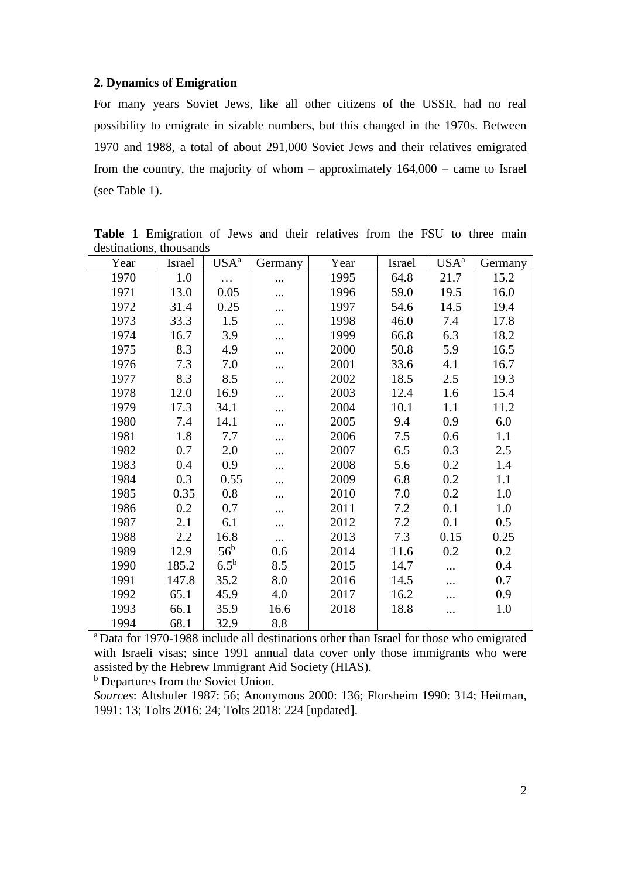## **2. Dynamics of Emigration**

For many years Soviet Jews, like all other citizens of the USSR, had no real possibility to emigrate in sizable numbers, but this changed in the 1970s. Between 1970 and 1988, a total of about 291,000 Soviet Jews and their relatives emigrated from the country, the majority of whom – approximately 164,000 – came to Israel (see Table 1).

| Year | Israel | USA <sup>a</sup> | Germany  | Year | Israel | USA <sup>a</sup> | Germany |
|------|--------|------------------|----------|------|--------|------------------|---------|
| 1970 | 1.0    | $\cdots$         | .        | 1995 | 64.8   | 21.7             | 15.2    |
| 1971 | 13.0   | 0.05             |          | 1996 | 59.0   | 19.5             | 16.0    |
| 1972 | 31.4   | 0.25             |          | 1997 | 54.6   | 14.5             | 19.4    |
| 1973 | 33.3   | 1.5              |          | 1998 | 46.0   | 7.4              | 17.8    |
| 1974 | 16.7   | 3.9              |          | 1999 | 66.8   | 6.3              | 18.2    |
| 1975 | 8.3    | 4.9              |          | 2000 | 50.8   | 5.9              | 16.5    |
| 1976 | 7.3    | 7.0              |          | 2001 | 33.6   | 4.1              | 16.7    |
| 1977 | 8.3    | 8.5              |          | 2002 | 18.5   | 2.5              | 19.3    |
| 1978 | 12.0   | 16.9             |          | 2003 | 12.4   | 1.6              | 15.4    |
| 1979 | 17.3   | 34.1             | .        | 2004 | 10.1   | 1.1              | 11.2    |
| 1980 | 7.4    | 14.1             |          | 2005 | 9.4    | 0.9              | 6.0     |
| 1981 | 1.8    | 7.7              |          | 2006 | 7.5    | 0.6              | 1.1     |
| 1982 | 0.7    | 2.0              |          | 2007 | 6.5    | 0.3              | 2.5     |
| 1983 | 0.4    | 0.9              |          | 2008 | 5.6    | 0.2              | 1.4     |
| 1984 | 0.3    | 0.55             |          | 2009 | 6.8    | 0.2              | 1.1     |
| 1985 | 0.35   | 0.8              | .        | 2010 | 7.0    | 0.2              | 1.0     |
| 1986 | 0.2    | 0.7              |          | 2011 | 7.2    | 0.1              | 1.0     |
| 1987 | 2.1    | 6.1              | .        | 2012 | 7.2    | 0.1              | 0.5     |
| 1988 | 2.2    | 16.8             | $\cdots$ | 2013 | 7.3    | 0.15             | 0.25    |
| 1989 | 12.9   | 56 <sup>b</sup>  | 0.6      | 2014 | 11.6   | 0.2              | 0.2     |
| 1990 | 185.2  | $6.5^{\rm b}$    | 8.5      | 2015 | 14.7   | $\cdots$         | 0.4     |
| 1991 | 147.8  | 35.2             | 8.0      | 2016 | 14.5   |                  | 0.7     |
| 1992 | 65.1   | 45.9             | 4.0      | 2017 | 16.2   | .                | 0.9     |
| 1993 | 66.1   | 35.9             | 16.6     | 2018 | 18.8   | .                | 1.0     |
| 1994 | 68.1   | 32.9             | 8.8      |      |        |                  |         |

**Table 1** Emigration of Jews and their relatives from the FSU to three main destinations, thousands

<sup>a</sup> Data for 1970-1988 include all destinations other than Israel for those who emigrated with Israeli visas; since 1991 annual data cover only those immigrants who were assisted by the Hebrew Immigrant Aid Society (HIAS).

<sup>b</sup> Departures from the Soviet Union.

*Sources*: Altshuler 1987: 56; Anonymous 2000: 136; Florsheim 1990: 314; Heitman, 1991: 13; Tolts 2016: 24; Tolts 2018: 224 [updated].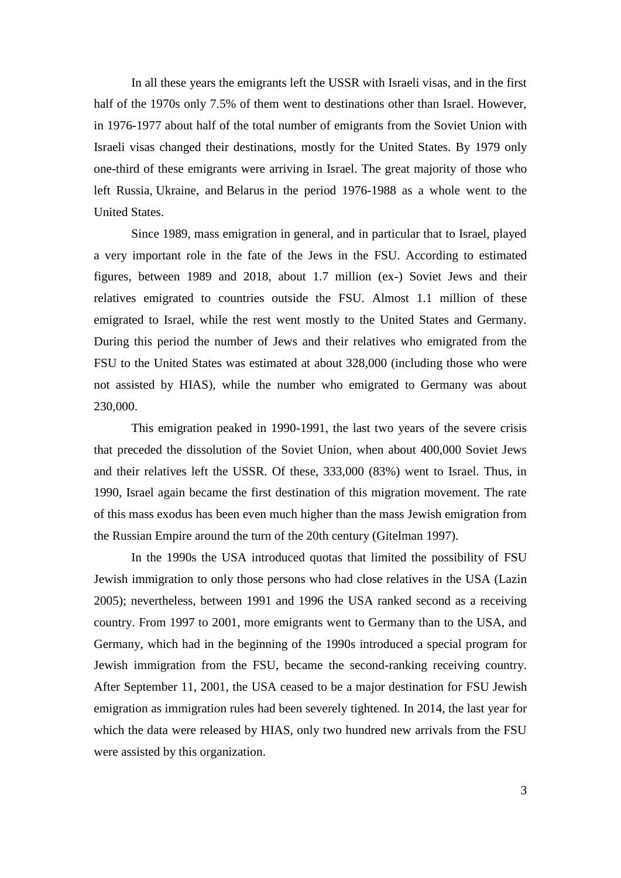In all these years the emigrants left the USSR with Israeli visas, and in the first half of the 1970s only 7.5% of them went to destinations other than Israel. However, in 1976-1977 about half of the total number of emigrants from the Soviet Union with Israeli visas changed their destinations, mostly for the United States. By 1979 only one-third of these emigrants were arriving in Israel. The great majority of those who left Russia, Ukraine, and Belarus in the period 1976-1988 as a whole went to the United States.

Since 1989, mass emigration in general, and in particular that to Israel, played a very important role in the fate of the Jews in the FSU. According to estimated figures, between 1989 and 2018, about 1.7 million (ex-) Soviet Jews and their relatives emigrated to countries outside the FSU. Almost 1.1 million of these emigrated to Israel, while the rest went mostly to the United States and Germany. During this period the number of Jews and their relatives who emigrated from the FSU to the United States was estimated at about 328,000 (including those who were not assisted by HIAS), while the number who emigrated to Germany was about 230,000.

This emigration peaked in 1990-1991, the last two years of the severe crisis that preceded the dissolution of the Soviet Union, when about 400,000 Soviet Jews and their relatives left the USSR. Of these, 333,000 (83%) went to Israel. Thus, in 1990, Israel again became the first destination of this migration movement. The rate of this mass exodus has been even much higher than the mass Jewish emigration from the Russian Empire around the turn of the 20th century (Gitelman 1997).

In the 1990s the USA introduced quotas that limited the possibility of FSU Jewish immigration to only those persons who had close relatives in the USA (Lazin 2005); nevertheless, between 1991 and 1996 the USA ranked second as a receiving country. From 1997 to 2001, more emigrants went to Germany than to the USA, and Germany, which had in the beginning of the 1990s introduced a special program for Jewish immigration from the FSU, became the second-ranking receiving country. After September 11, 2001, the USA ceased to be a major destination for FSU Jewish emigration as immigration rules had been severely tightened. In 2014, the last year for which the data were released by HIAS, only two hundred new arrivals from the FSU were assisted by this organization.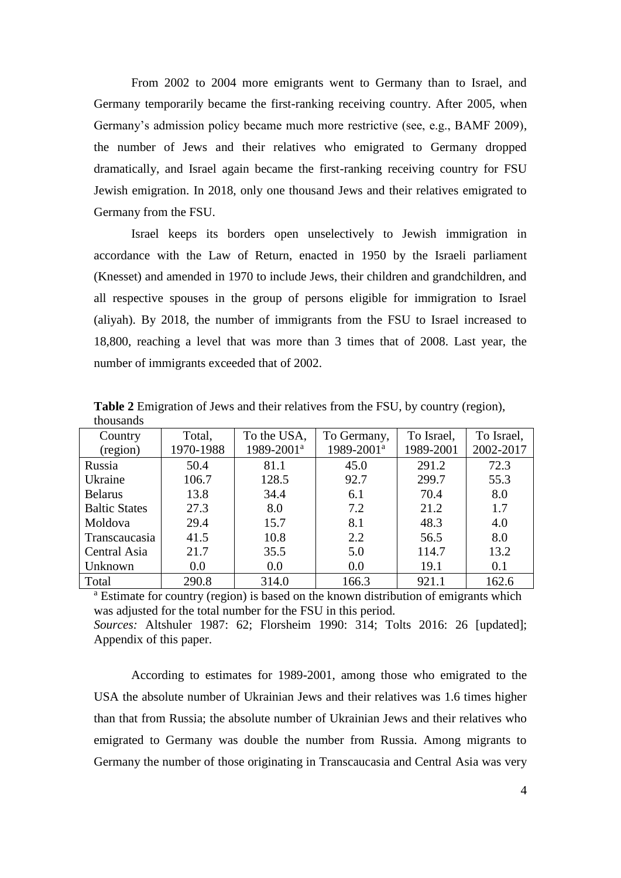From 2002 to 2004 more emigrants went to Germany than to Israel, and Germany temporarily became the first-ranking receiving country. After 2005, when Germany's admission policy became much more restrictive (see, e.g., BAMF 2009), the number of Jews and their relatives who emigrated to Germany dropped dramatically, and Israel again became the first-ranking receiving country for FSU Jewish emigration. In 2018, only one thousand Jews and their relatives emigrated to Germany from the FSU.

Israel keeps its borders open unselectively to Jewish immigration in accordance with the Law of Return, enacted in 1950 by the Israeli parliament (Knesset) and amended in 1970 to include Jews, their children and grandchildren, and all respective spouses in the group of persons eligible for immigration to Israel (aliyah). By 2018, the number of immigrants from the FSU to Israel increased to 18,800, reaching a level that was more than 3 times that of 2008. Last year, the number of immigrants exceeded that of 2002.

| unvusunus            |           |                        |                        |            |            |
|----------------------|-----------|------------------------|------------------------|------------|------------|
| Country              | Total,    | To the USA,            | To Germany,            | To Israel, | To Israel, |
| (region)             | 1970-1988 | 1989-2001 <sup>a</sup> | 1989-2001 <sup>a</sup> | 1989-2001  | 2002-2017  |
| Russia               | 50.4      | 81.1                   | 45.0                   | 291.2      | 72.3       |
| Ukraine              | 106.7     | 128.5                  | 92.7                   | 299.7      | 55.3       |
| <b>Belarus</b>       | 13.8      | 34.4                   | 6.1                    | 70.4       | 8.0        |
| <b>Baltic States</b> | 27.3      | 8.0                    | 7.2                    | 21.2       | 1.7        |
| Moldova              | 29.4      | 15.7                   | 8.1                    | 48.3       | 4.0        |
| Transcaucasia        | 41.5      | 10.8                   | 2.2                    | 56.5       | 8.0        |
| Central Asia         | 21.7      | 35.5                   | 5.0                    | 114.7      | 13.2       |
| Unknown              | 0.0       | 0.0                    | 0.0                    | 19.1       | 0.1        |
| Total                | 290.8     | 314.0                  | 166.3                  | 921.1      | 162.6      |

**Table 2** Emigration of Jews and their relatives from the FSU, by country (region), thousands

<sup>a</sup> Estimate for country (region) is based on the known distribution of emigrants which was adjusted for the total number for the FSU in this period. *Sources:* Altshuler 1987: 62; Florsheim 1990: 314; Tolts 2016: 26 [updated]; Appendix of this paper.

According to estimates for 1989-2001, among those who emigrated to the USA the absolute number of Ukrainian Jews and their relatives was 1.6 times higher than that from Russia; the absolute number of Ukrainian Jews and their relatives who emigrated to Germany was double the number from Russia. Among migrants to Germany the number of those originating in Transcaucasia and Central Asia was very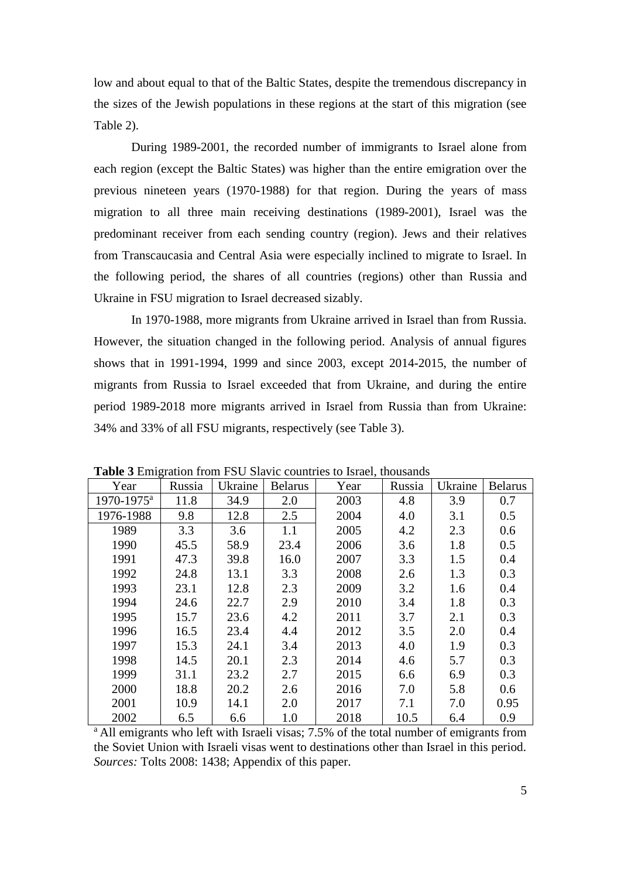low and about equal to that of the Baltic States, despite the tremendous discrepancy in the sizes of the Jewish populations in these regions at the start of this migration (see Table 2).

During 1989-2001, the recorded number of immigrants to Israel alone from each region (except the Baltic States) was higher than the entire emigration over the previous nineteen years (1970-1988) for that region. During the years of mass migration to all three main receiving destinations (1989-2001), Israel was the predominant receiver from each sending country (region). Jews and their relatives from Transcaucasia and Central Asia were especially inclined to migrate to Israel. In the following period, the shares of all countries (regions) other than Russia and Ukraine in FSU migration to Israel decreased sizably.

In 1970-1988, more migrants from Ukraine arrived in Israel than from Russia. However, the situation changed in the following period. Analysis of annual figures shows that in 1991-1994, 1999 and since 2003, except 2014-2015, the number of migrants from Russia to Israel exceeded that from Ukraine, and during the entire period 1989-2018 more migrants arrived in Israel from Russia than from Ukraine: 34% and 33% of all FSU migrants, respectively (see Table 3).

| Year                   | Russia | Ukraine | <b>Belarus</b> | Year | Russia | Ukraine | <b>Belarus</b> |
|------------------------|--------|---------|----------------|------|--------|---------|----------------|
| 1970-1975 <sup>a</sup> | 11.8   | 34.9    | 2.0            | 2003 | 4.8    | 3.9     | 0.7            |
| 1976-1988              | 9.8    | 12.8    | 2.5            | 2004 | 4.0    | 3.1     | 0.5            |
| 1989                   | 3.3    | 3.6     | 1.1            | 2005 | 4.2    | 2.3     | 0.6            |
| 1990                   | 45.5   | 58.9    | 23.4           | 2006 | 3.6    | 1.8     | 0.5            |
| 1991                   | 47.3   | 39.8    | 16.0           | 2007 | 3.3    | 1.5     | 0.4            |
| 1992                   | 24.8   | 13.1    | 3.3            | 2008 | 2.6    | 1.3     | 0.3            |
| 1993                   | 23.1   | 12.8    | 2.3            | 2009 | 3.2    | 1.6     | 0.4            |
| 1994                   | 24.6   | 22.7    | 2.9            | 2010 | 3.4    | 1.8     | 0.3            |
| 1995                   | 15.7   | 23.6    | 4.2            | 2011 | 3.7    | 2.1     | 0.3            |
| 1996                   | 16.5   | 23.4    | 4.4            | 2012 | 3.5    | 2.0     | 0.4            |
| 1997                   | 15.3   | 24.1    | 3.4            | 2013 | 4.0    | 1.9     | 0.3            |
| 1998                   | 14.5   | 20.1    | 2.3            | 2014 | 4.6    | 5.7     | 0.3            |
| 1999                   | 31.1   | 23.2    | 2.7            | 2015 | 6.6    | 6.9     | 0.3            |
| 2000                   | 18.8   | 20.2    | 2.6            | 2016 | 7.0    | 5.8     | 0.6            |
| 2001                   | 10.9   | 14.1    | 2.0            | 2017 | 7.1    | 7.0     | 0.95           |
| 2002                   | 6.5    | 6.6     | 1.0            | 2018 | 10.5   | 6.4     | 0.9            |

**Table 3** Emigration from FSU Slavic countries to Israel, thousands

<sup>a</sup> All emigrants who left with Israeli visas; 7.5% of the total number of emigrants from the Soviet Union with Israeli visas went to destinations other than Israel in this period. *Sources:* Tolts 2008: 1438; Appendix of this paper.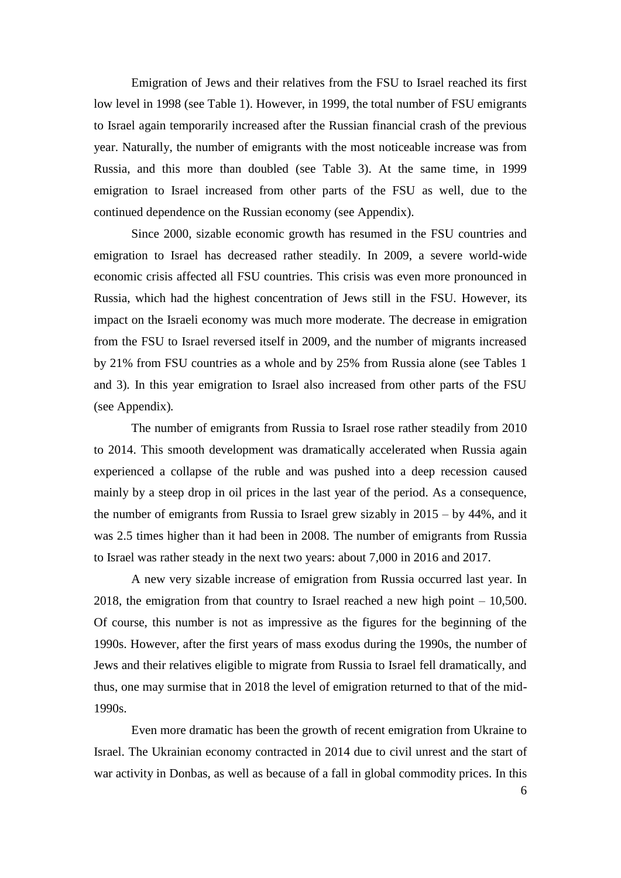Emigration of Jews and their relatives from the FSU to Israel reached its first low level in 1998 (see Table 1). However, in 1999, the total number of FSU emigrants to Israel again temporarily increased after the Russian financial crash of the previous year. Naturally, the number of emigrants with the most noticeable increase was from Russia, and this more than doubled (see Table 3). At the same time, in 1999 emigration to Israel increased from other parts of the FSU as well, due to the continued dependence on the Russian economy (see Appendix).

Since 2000, sizable economic growth has resumed in the FSU countries and emigration to Israel has decreased rather steadily. In 2009, a severe world-wide economic crisis affected all FSU countries. This crisis was even more pronounced in Russia, which had the highest concentration of Jews still in the FSU*.* However, its impact on the Israeli economy was much more moderate. The decrease in emigration from the FSU to Israel reversed itself in 2009, and the number of migrants increased by 21% from FSU countries as a whole and by 25% from Russia alone (see Tables 1 and 3)*.* In this year emigration to Israel also increased from other parts of the FSU (see Appendix)*.* 

The number of emigrants from Russia to Israel rose rather steadily from 2010 to 2014. This smooth development was dramatically accelerated when Russia again experienced a collapse of the ruble and was pushed into a deep recession caused mainly by a steep drop in oil prices in the last year of the period. As a consequence, the number of emigrants from Russia to Israel grew sizably in 2015 – by 44%, and it was 2.5 times higher than it had been in 2008. The number of emigrants from Russia to Israel was rather steady in the next two years: about 7,000 in 2016 and 2017.

A new very sizable increase of emigration from Russia occurred last year. In 2018, the emigration from that country to Israel reached a new high point – 10,500. Of course, this number is not as impressive as the figures for the beginning of the 1990s. However, after the first years of mass exodus during the 1990s, the number of Jews and their relatives eligible to migrate from Russia to Israel fell dramatically, and thus, one may surmise that in 2018 the level of emigration returned to that of the mid-1990s.

Even more dramatic has been the growth of recent emigration from Ukraine to Israel. The Ukrainian economy contracted in 2014 due to civil unrest and the start of war activity in Donbas, as well as because of a fall in global commodity prices. In this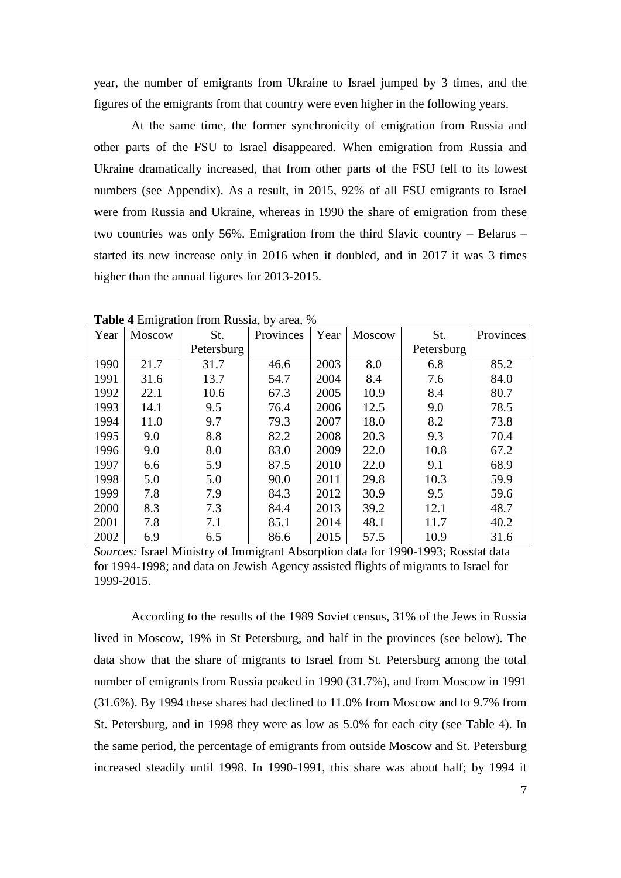year, the number of emigrants from Ukraine to Israel jumped by 3 times, and the figures of the emigrants from that country were even higher in the following years.

At the same time, the former synchronicity of emigration from Russia and other parts of the FSU to Israel disappeared. When emigration from Russia and Ukraine dramatically increased, that from other parts of the FSU fell to its lowest numbers (see Appendix). As a result, in 2015, 92% of all FSU emigrants to Israel were from Russia and Ukraine, whereas in 1990 the share of emigration from these two countries was only 56%. Emigration from the third Slavic country – Belarus – started its new increase only in 2016 when it doubled, and in 2017 it was 3 times higher than the annual figures for 2013-2015.

| Year | <b>Moscow</b> | St.        | Provinces | Year | <b>Moscow</b> | St.        | Provinces |
|------|---------------|------------|-----------|------|---------------|------------|-----------|
|      |               | Petersburg |           |      |               | Petersburg |           |
| 1990 | 21.7          | 31.7       | 46.6      | 2003 | 8.0           | 6.8        | 85.2      |
| 1991 | 31.6          | 13.7       | 54.7      | 2004 | 8.4           | 7.6        | 84.0      |
| 1992 | 22.1          | 10.6       | 67.3      | 2005 | 10.9          | 8.4        | 80.7      |
| 1993 | 14.1          | 9.5        | 76.4      | 2006 | 12.5          | 9.0        | 78.5      |
| 1994 | 11.0          | 9.7        | 79.3      | 2007 | 18.0          | 8.2        | 73.8      |
| 1995 | 9.0           | 8.8        | 82.2      | 2008 | 20.3          | 9.3        | 70.4      |
| 1996 | 9.0           | 8.0        | 83.0      | 2009 | 22.0          | 10.8       | 67.2      |
| 1997 | 6.6           | 5.9        | 87.5      | 2010 | 22.0          | 9.1        | 68.9      |
| 1998 | 5.0           | 5.0        | 90.0      | 2011 | 29.8          | 10.3       | 59.9      |
| 1999 | 7.8           | 7.9        | 84.3      | 2012 | 30.9          | 9.5        | 59.6      |
| 2000 | 8.3           | 7.3        | 84.4      | 2013 | 39.2          | 12.1       | 48.7      |
| 2001 | 7.8           | 7.1        | 85.1      | 2014 | 48.1          | 11.7       | 40.2      |
| 2002 | 6.9           | 6.5        | 86.6      | 2015 | 57.5          | 10.9       | 31.6      |

**Table 4** Emigration from Russia, by area, %

*Sources:* Israel Ministry of Immigrant Absorption data for 1990-1993; Rosstat data for 1994-1998; and data on Jewish Agency assisted flights of migrants to Israel for 1999-2015.

According to the results of the 1989 Soviet census, 31% of the Jews in Russia lived in Moscow, 19% in St Petersburg, and half in the provinces (see below). The data show that the share of migrants to Israel from St. Petersburg among the total number of emigrants from Russia peaked in 1990 (31.7%), and from Moscow in 1991 (31.6%). By 1994 these shares had declined to 11.0% from Moscow and to 9.7% from St. Petersburg, and in 1998 they were as low as 5.0% for each city (see Table 4). In the same period, the percentage of emigrants from outside Moscow and St. Petersburg increased steadily until 1998. In 1990-1991, this share was about half; by 1994 it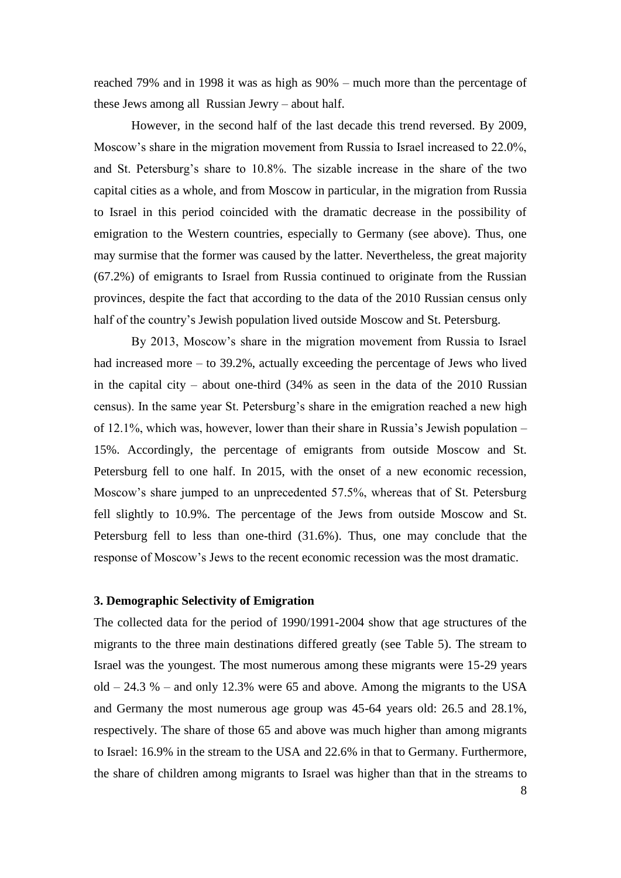reached 79% and in 1998 it was as high as 90% – much more than the percentage of these Jews among all Russian Jewry – about half.

However, in the second half of the last decade this trend reversed. By 2009, Moscow's share in the migration movement from Russia to Israel increased to 22.0%, and St. Petersburg's share to 10.8%. The sizable increase in the share of the two capital cities as a whole, and from Moscow in particular, in the migration from Russia to Israel in this period coincided with the dramatic decrease in the possibility of emigration to the Western countries, especially to Germany (see above). Thus, one may surmise that the former was caused by the latter. Nevertheless, the great majority (67.2%) of emigrants to Israel from Russia continued to originate from the Russian provinces, despite the fact that according to the data of the 2010 Russian census only half of the country's Jewish population lived outside Moscow and St. Petersburg.

By 2013, Moscow's share in the migration movement from Russia to Israel had increased more – to 39.2%, actually exceeding the percentage of Jews who lived in the capital city – about one-third  $(34\%$  as seen in the data of the 2010 Russian census). In the same year St. Petersburg's share in the emigration reached a new high of 12.1%, which was, however, lower than their share in Russia's Jewish population – 15%. Accordingly, the percentage of emigrants from outside Moscow and St. Petersburg fell to one half. In 2015, with the onset of a new economic recession, Moscow's share jumped to an unprecedented 57.5%, whereas that of St. Petersburg fell slightly to 10.9%. The percentage of the Jews from outside Moscow and St. Petersburg fell to less than one-third (31.6%). Thus, one may conclude that the response of Moscow's Jews to the recent economic recession was the most dramatic.

## **3. Demographic Selectivity of Emigration**

The collected data for the period of 1990/1991-2004 show that age structures of the migrants to the three main destinations differed greatly (see Table 5). The stream to Israel was the youngest. The most numerous among these migrants were 15-29 years old  $-24.3$  % – and only 12.3% were 65 and above. Among the migrants to the USA and Germany the most numerous age group was 45-64 years old: 26.5 and 28.1%, respectively. The share of those 65 and above was much higher than among migrants to Israel: 16.9% in the stream to the USA and 22.6% in that to Germany. Furthermore, the share of children among migrants to Israel was higher than that in the streams to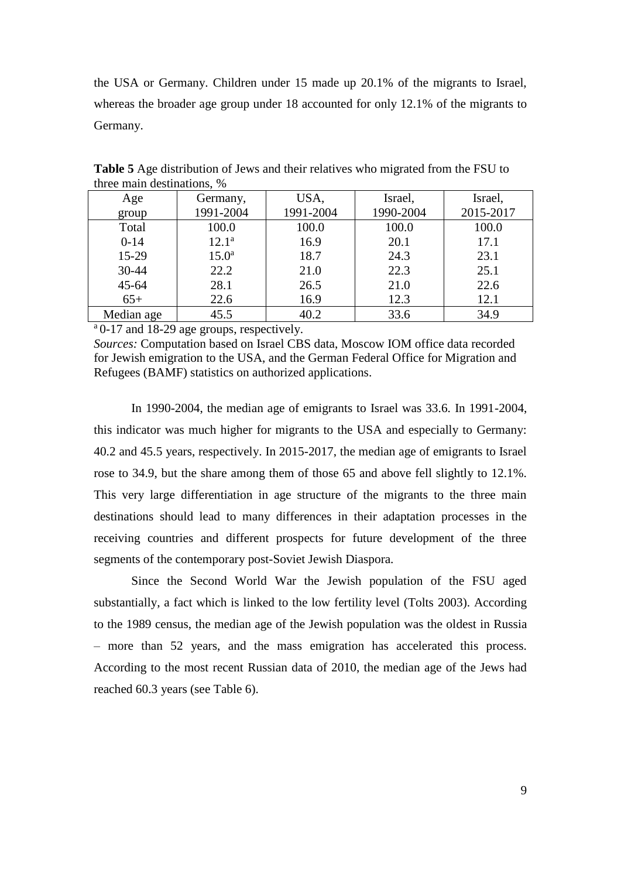the USA or Germany. Children under 15 made up 20.1% of the migrants to Israel, whereas the broader age group under 18 accounted for only 12.1% of the migrants to Germany.

| Age        | Germany,          | USA,      | Israel,   | Israel,   |
|------------|-------------------|-----------|-----------|-----------|
| group      | 1991-2004         | 1991-2004 | 1990-2004 | 2015-2017 |
| Total      | 100.0             | 100.0     | 100.0     | 100.0     |
| $0-14$     | $12.1^a$          | 16.9      | 20.1      | 17.1      |
| $15-29$    | 15.0 <sup>a</sup> | 18.7      | 24.3      | 23.1      |
| $30 - 44$  | 22.2              | 21.0      | 22.3      | 25.1      |
| $45 - 64$  | 28.1              | 26.5      | 21.0      | 22.6      |
| $65+$      | 22.6              | 16.9      | 12.3      | 12.1      |
| Median age | 45.5              | 40.2      | 33.6      | 34.9      |

**Table 5** Age distribution of Jews and their relatives who migrated from the FSU to three main destinations, %

<sup>a</sup> 0-17 and 18-29 age groups, respectively.

*Sources:* Computation based on Israel CBS data, Moscow IOM office data recorded for Jewish emigration to the USA, and the German Federal Office for Migration and Refugees (BAMF) statistics on authorized applications.

In 1990-2004, the median age of emigrants to Israel was 33.6. In 1991-2004, this indicator was much higher for migrants to the USA and especially to Germany: 40.2 and 45.5 years, respectively. In 2015-2017, the median age of emigrants to Israel rose to 34.9, but the share among them of those 65 and above fell slightly to 12.1%. This very large differentiation in age structure of the migrants to the three main destinations should lead to many differences in their adaptation processes in the receiving countries and different prospects for future development of the three segments of the contemporary post-Soviet Jewish Diaspora.

Since the Second World War the Jewish population of the FSU aged substantially, a fact which is linked to the low fertility level (Tolts 2003). According to the 1989 census, the median age of the Jewish population was the oldest in Russia – more than 52 years, and the mass emigration has accelerated this process. According to the most recent Russian data of 2010, the median age of the Jews had reached 60.3 years (see Table 6).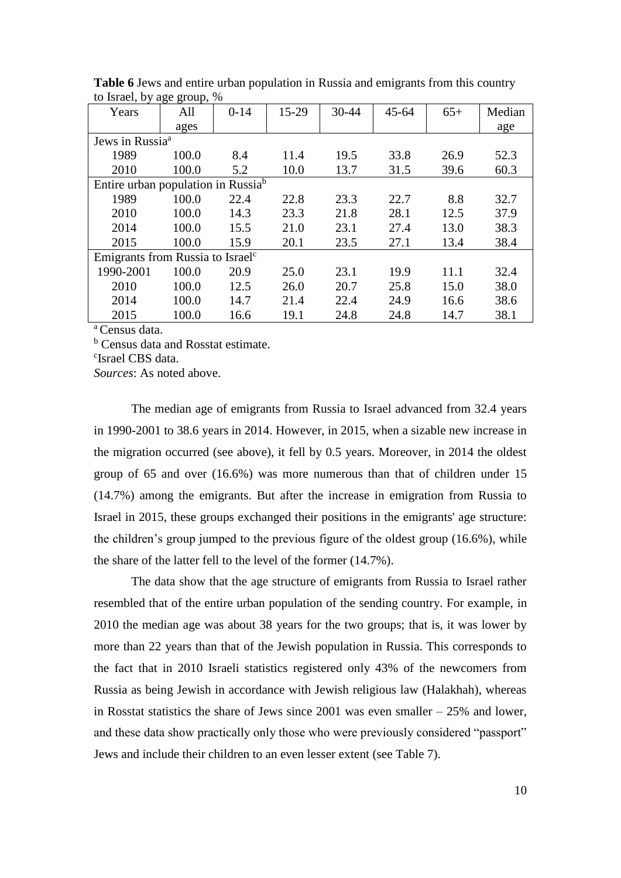| Years                                          | ים יסיים<br>All | $0 - 14$ | 15-29 | 30-44 | $45 - 64$ | $65+$ | Median |
|------------------------------------------------|-----------------|----------|-------|-------|-----------|-------|--------|
|                                                | ages            |          |       |       |           |       | age    |
| Jews in Russia <sup>a</sup>                    |                 |          |       |       |           |       |        |
| 1989                                           | 100.0           | 8.4      | 11.4  | 19.5  | 33.8      | 26.9  | 52.3   |
| 2010                                           | 100.0           | 5.2      | 10.0  | 13.7  | 31.5      | 39.6  | 60.3   |
| Entire urban population in Russia <sup>b</sup> |                 |          |       |       |           |       |        |
| 1989                                           | 100.0           | 22.4     | 22.8  | 23.3  | 22.7      | 8.8   | 32.7   |
| 2010                                           | 100.0           | 14.3     | 23.3  | 21.8  | 28.1      | 12.5  | 37.9   |
| 2014                                           | 100.0           | 15.5     | 21.0  | 23.1  | 27.4      | 13.0  | 38.3   |
| 2015                                           | 100.0           | 15.9     | 20.1  | 23.5  | 27.1      | 13.4  | 38.4   |
| Emigrants from Russia to Israel <sup>c</sup>   |                 |          |       |       |           |       |        |
| 1990-2001                                      | 100.0           | 20.9     | 25.0  | 23.1  | 19.9      | 11.1  | 32.4   |
| 2010                                           | 100.0           | 12.5     | 26.0  | 20.7  | 25.8      | 15.0  | 38.0   |
| 2014                                           | 100.0           | 14.7     | 21.4  | 22.4  | 24.9      | 16.6  | 38.6   |
| 2015                                           | 100.0           | 16.6     | 19.1  | 24.8  | 24.8      | 14.7  | 38.1   |

**Table 6** Jews and entire urban population in Russia and emigrants from this country to Israel, by age group, %

<sup>a</sup> Census data.

<sup>b</sup> Census data and Rosstat estimate.

c Israel CBS data.

*Sources*: As noted above.

The median age of emigrants from Russia to Israel advanced from 32.4 years in 1990-2001 to 38.6 years in 2014. However, in 2015, when a sizable new increase in the migration occurred (see above), it fell by 0.5 years. Moreover, in 2014 the oldest group of 65 and over (16.6%) was more numerous than that of children under 15 (14.7%) among the emigrants. But after the increase in emigration from Russia to Israel in 2015, these groups exchanged their positions in the emigrants' age structure: the children's group jumped to the previous figure of the oldest group (16.6%), while the share of the latter fell to the level of the former (14.7%).

The data show that the age structure of emigrants from Russia to Israel rather resembled that of the entire urban population of the sending country. For example, in 2010 the median age was about 38 years for the two groups; that is, it was lower by more than 22 years than that of the Jewish population in Russia. This corresponds to the fact that in 2010 Israeli statistics registered only 43% of the newcomers from Russia as being Jewish in accordance with Jewish religious law (Halakhah), whereas in Rosstat statistics the share of Jews since 2001 was even smaller – 25% and lower, and these data show practically only those who were previously considered "passport" Jews and include their children to an even lesser extent (see Table 7).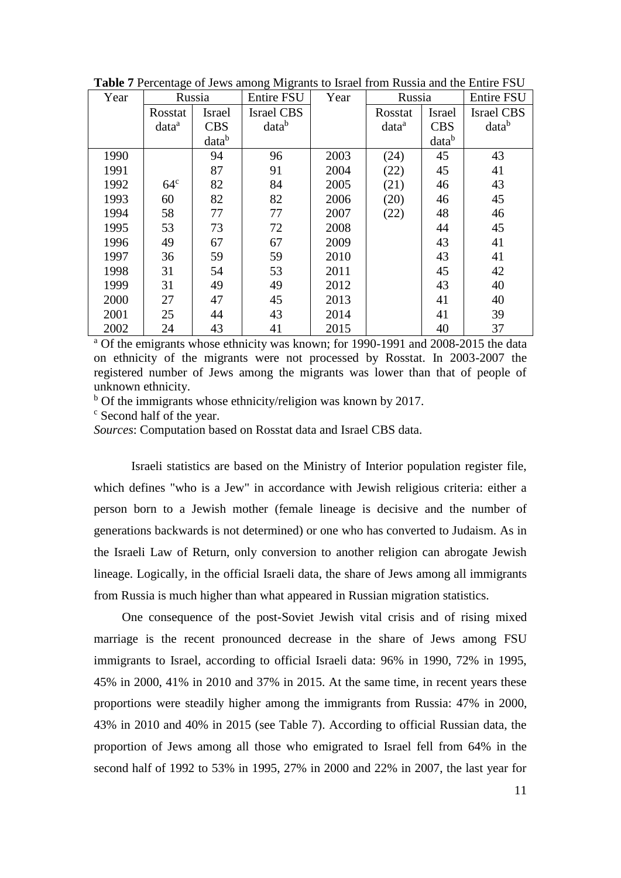| Year |                   | Russia        | Entire FSU        | Year | Russia            |                   | <b>Entire FSU</b> |
|------|-------------------|---------------|-------------------|------|-------------------|-------------------|-------------------|
|      | Rosstat           | <b>Israel</b> | <b>Israel CBS</b> |      | Rosstat           | Israel            | <b>Israel CBS</b> |
|      | data <sup>a</sup> | <b>CBS</b>    | datab             |      | data <sup>a</sup> | <b>CBS</b>        | datab             |
|      |                   | datab         |                   |      |                   | data <sup>b</sup> |                   |
| 1990 |                   | 94            | 96                | 2003 | (24)              | 45                | 43                |
| 1991 |                   | 87            | 91                | 2004 | (22)              | 45                | 41                |
| 1992 | 64 <sup>c</sup>   | 82            | 84                | 2005 | (21)              | 46                | 43                |
| 1993 | 60                | 82            | 82                | 2006 | (20)              | 46                | 45                |
| 1994 | 58                | 77            | 77                | 2007 | (22)              | 48                | 46                |
| 1995 | 53                | 73            | 72                | 2008 |                   | 44                | 45                |
| 1996 | 49                | 67            | 67                | 2009 |                   | 43                | 41                |
| 1997 | 36                | 59            | 59                | 2010 |                   | 43                | 41                |
| 1998 | 31                | 54            | 53                | 2011 |                   | 45                | 42                |
| 1999 | 31                | 49            | 49                | 2012 |                   | 43                | 40                |
| 2000 | 27                | 47            | 45                | 2013 |                   | 41                | 40                |
| 2001 | 25                | 44            | 43                | 2014 |                   | 41                | 39                |
| 2002 | 24                | 43            | 41                | 2015 |                   | 40                | 37                |

**Table 7** Percentage of Jews among Migrants to Israel from Russia and the Entire FSU

<sup>a</sup> Of the emigrants whose ethnicity was known; for 1990-1991 and 2008-2015 the data on ethnicity of the migrants were not processed by Rosstat. In 2003-2007 the registered number of Jews among the migrants was lower than that of people of unknown ethnicity.

 $b$  Of the immigrants whose ethnicity/religion was known by 2017.

<sup>c</sup> Second half of the year.

*Sources*: Computation based on Rosstat data and Israel CBS data.

Israeli statistics are based on the Ministry of Interior population register file, which defines "who is a Jew" in accordance with Jewish religious criteria: either a person born to a Jewish mother (female lineage is decisive and the number of generations backwards is not determined) or one who has converted to Judaism. As in the Israeli Law of Return, only conversion to another religion can abrogate Jewish lineage. Logically, in the official Israeli data, the share of Jews among all immigrants from Russia is much higher than what appeared in Russian migration statistics.

One consequence of the post-Soviet Jewish vital crisis and of rising mixed marriage is the recent pronounced decrease in the share of Jews among FSU immigrants to Israel, according to official Israeli data: 96% in 1990, 72% in 1995, 45% in 2000, 41% in 2010 and 37% in 2015. At the same time, in recent years these proportions were steadily higher among the immigrants from Russia: 47% in 2000, 43% in 2010 and 40% in 2015 (see Table 7). According to official Russian data, the proportion of Jews among all those who emigrated to Israel fell from 64% in the second half of 1992 to 53% in 1995, 27% in 2000 and 22% in 2007, the last year for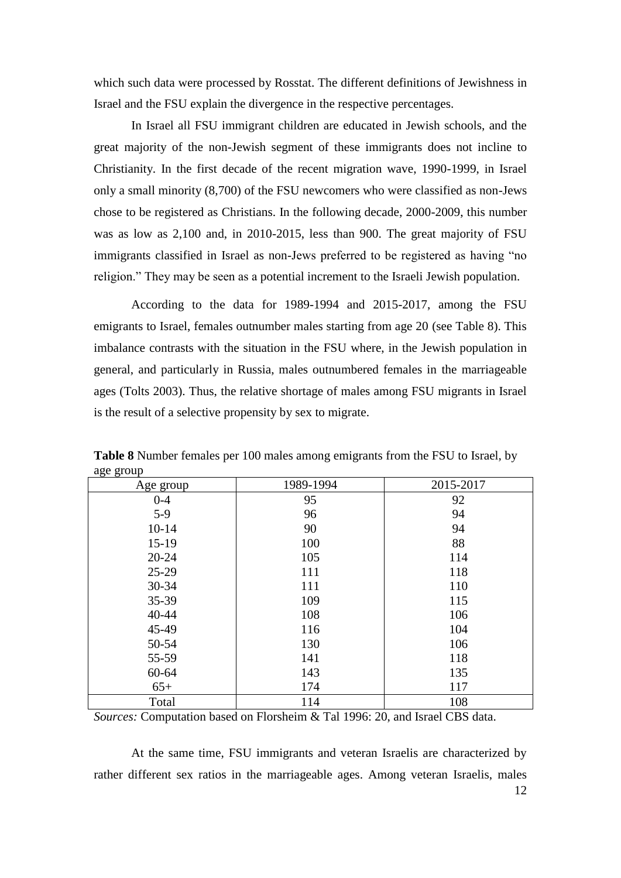which such data were processed by Rosstat. The different definitions of Jewishness in Israel and the FSU explain the divergence in the respective percentages.

In Israel all FSU immigrant children are educated in Jewish schools, and the great majority of the non-Jewish segment of these immigrants does not incline to Christianity. In the first decade of the recent migration wave, 1990-1999, in Israel only a small minority (8,700) of the FSU newcomers who were classified as non-Jews chose to be registered as Christians. In the following decade, 2000-2009, this number was as low as 2,100 and, in 2010-2015, less than 900. The great majority of FSU immigrants classified in Israel as non-Jews preferred to be registered as having "no religion." They may be seen as a potential increment to the Israeli Jewish population.

According to the data for 1989-1994 and 2015-2017, among the FSU emigrants to Israel, females outnumber males starting from age 20 (see Table 8). This imbalance contrasts with the situation in the FSU where, in the Jewish population in general, and particularly in Russia, males outnumbered females in the marriageable ages (Tolts 2003). Thus, the relative shortage of males among FSU migrants in Israel is the result of a selective propensity by sex to migrate.

| $\sigma$ $\sigma$ $\sigma$ $\sigma$<br>Age group | 1989-1994 | 2015-2017 |
|--------------------------------------------------|-----------|-----------|
| $0 - 4$                                          | 95        | 92        |
| $5-9$                                            | 96        | 94        |
| $10 - 14$                                        | 90        | 94        |
| $15-19$                                          | 100       | 88        |
| $20 - 24$                                        | 105       | 114       |
| $25-29$                                          | 111       | 118       |
| 30-34                                            | 111       | 110       |
| 35-39                                            | 109       | 115       |
| 40-44                                            | 108       | 106       |
| 45-49                                            | 116       | 104       |
| 50-54                                            | 130       | 106       |
| 55-59                                            | 141       | 118       |
| 60-64                                            | 143       | 135       |
| $65+$                                            | 174       | 117       |
| Total                                            | 114       | 108       |

**Table 8** Number females per 100 males among emigrants from the FSU to Israel, by age group

*Sources:* Computation based on Florsheim & Tal 1996: 20, and Israel CBS data.

At the same time, FSU immigrants and veteran Israelis are characterized by rather different sex ratios in the marriageable ages. Among veteran Israelis, males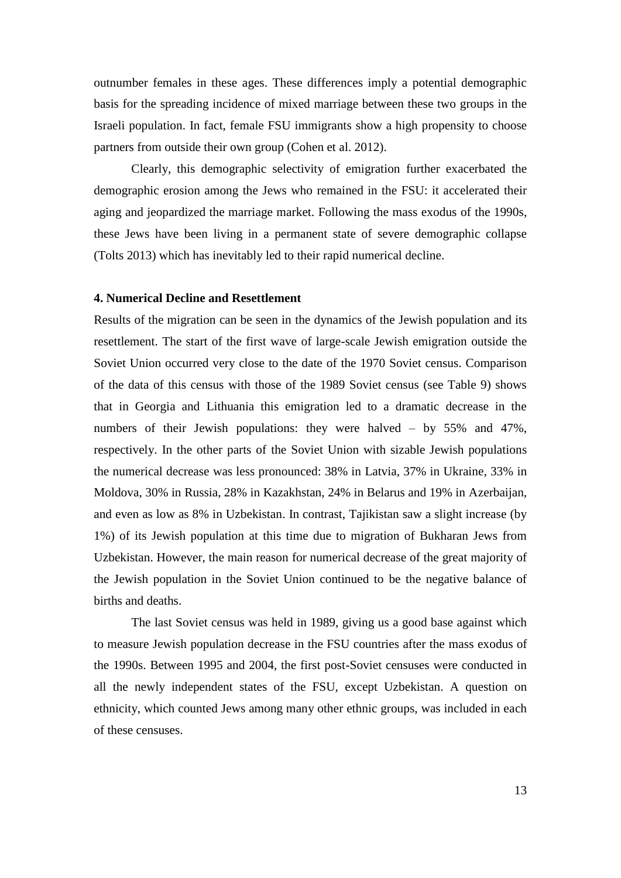outnumber females in these ages. These differences imply a potential demographic basis for the spreading incidence of mixed marriage between these two groups in the Israeli population. In fact, female FSU immigrants show a high propensity to choose partners from outside their own group (Cohen et al. 2012).

Clearly, this demographic selectivity of emigration further exacerbated the demographic erosion among the Jews who remained in the FSU: it accelerated their aging and jeopardized the marriage market. Following the mass exodus of the 1990s, these Jews have been living in a permanent state of severe demographic collapse (Tolts 2013) which has inevitably led to their rapid numerical decline.

## **4. Numerical Decline and Resettlement**

Results of the migration can be seen in the dynamics of the Jewish population and its resettlement. The start of the first wave of large-scale Jewish emigration outside the Soviet Union occurred very close to the date of the 1970 Soviet census. Comparison of the data of this census with those of the 1989 Soviet census (see Table 9) shows that in Georgia and Lithuania this emigration led to a dramatic decrease in the numbers of their Jewish populations: they were halved – by 55% and 47%, respectively. In the other parts of the Soviet Union with sizable Jewish populations the numerical decrease was less pronounced: 38% in Latvia, 37% in Ukraine, 33% in Moldova, 30% in Russia, 28% in Kazakhstan, 24% in Belarus and 19% in Azerbaijan, and even as low as 8% in Uzbekistan. In contrast, Tajikistan saw a slight increase (by 1%) of its Jewish population at this time due to migration of Bukharan Jews from Uzbekistan. However, the main reason for numerical decrease of the great majority of the Jewish population in the Soviet Union continued to be the negative balance of births and deaths.

The last Soviet census was held in 1989, giving us a good base against which to measure Jewish population decrease in the FSU countries after the mass exodus of the 1990s. Between 1995 and 2004, the first post-Soviet censuses were conducted in all the newly independent states of the FSU, except Uzbekistan. A question on ethnicity, which counted Jews among many other ethnic groups, was included in each of these censuses.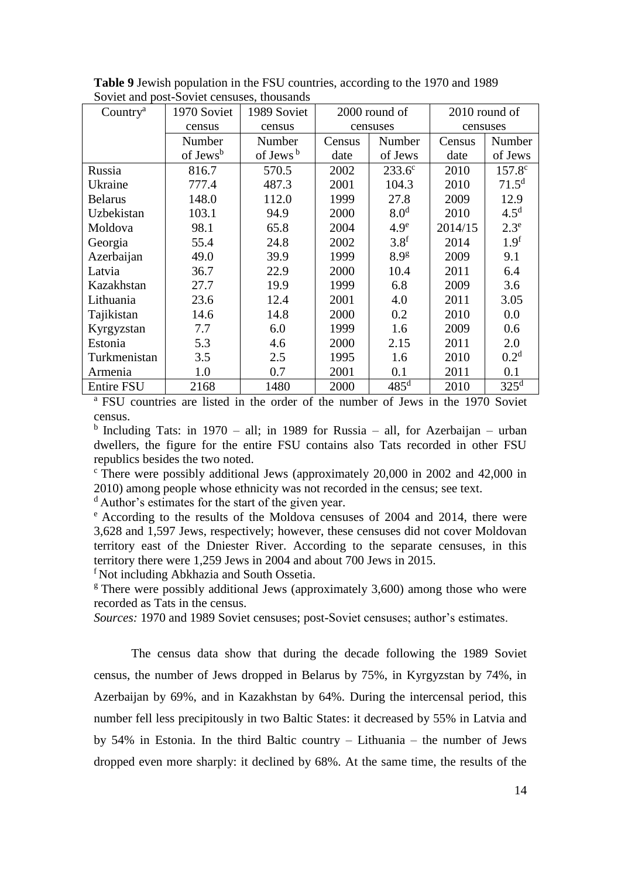| Country <sup>a</sup> | 1970 Soviet          | 1989 Soviet          | 2000 round of |                  |          | 2010 round of     |
|----------------------|----------------------|----------------------|---------------|------------------|----------|-------------------|
|                      | census               | census               | censuses      |                  | censuses |                   |
|                      | Number               | Number               | Census        | Number           | Census   | Number            |
|                      | of Jews <sup>b</sup> | of Jews <sup>b</sup> | date          | of Jews          | date     | of Jews           |
| Russia               | 816.7                | 570.5                | 2002          | $233.6^{\circ}$  | 2010     | $157.8^{\circ}$   |
| Ukraine              | 777.4                | 487.3                | 2001          | 104.3            | 2010     | 71.5 <sup>d</sup> |
| <b>Belarus</b>       | 148.0                | 112.0                | 1999          | 27.8             | 2009     | 12.9              |
| Uzbekistan           | 103.1                | 94.9                 | 2000          | 8.0 <sup>d</sup> | 2010     | 4.5 <sup>d</sup>  |
| Moldova              | 98.1                 | 65.8                 | 2004          | 4.9 <sup>e</sup> | 2014/15  | $2.3^e$           |
| Georgia              | 55.4                 | 24.8                 | 2002          | 3.8 <sup>f</sup> | 2014     | 1.9 <sup>f</sup>  |
| Azerbaijan           | 49.0                 | 39.9                 | 1999          | 8.9g             | 2009     | 9.1               |
| Latvia               | 36.7                 | 22.9                 | 2000          | 10.4             | 2011     | 6.4               |
| Kazakhstan           | 27.7                 | 19.9                 | 1999          | 6.8              | 2009     | 3.6               |
| Lithuania            | 23.6                 | 12.4                 | 2001          | 4.0              | 2011     | 3.05              |
| Tajikistan           | 14.6                 | 14.8                 | 2000          | 0.2              | 2010     | 0.0               |
| Kyrgyzstan           | 7.7                  | 6.0                  | 1999          | 1.6              | 2009     | 0.6               |
| Estonia              | 5.3                  | 4.6                  | 2000          | 2.15             | 2011     | 2.0               |
| Turkmenistan         | 3.5                  | 2.5                  | 1995          | 1.6              | 2010     | 0.2 <sup>d</sup>  |
| Armenia              | 1.0                  | 0.7                  | 2001          | 0.1              | 2011     | 0.1               |
| <b>Entire FSU</b>    | 2168                 | 1480                 | 2000          | $485^{\rm d}$    | 2010     | $325^{\rm d}$     |

**Table 9** Jewish population in the FSU countries, according to the 1970 and 1989 Soviet and post-Soviet censuses, thousands

<sup>a</sup> FSU countries are listed in the order of the number of Jews in the 1970 Soviet census.

<sup>b</sup> Including Tats: in 1970 – all; in 1989 for Russia – all, for Azerbaijan – urban dwellers, the figure for the entire FSU contains also Tats recorded in other FSU republics besides the two noted.

 $\degree$  There were possibly additional Jews (approximately 20,000 in 2002 and 42,000 in 2010) among people whose ethnicity was not recorded in the census; see text.

<sup>d</sup> Author's estimates for the start of the given year.

<sup>e</sup> According to the results of the Moldova censuses of 2004 and 2014, there were 3,628 and 1,597 Jews, respectively; however, these censuses did not cover Moldovan territory east of the Dniester River. According to the separate censuses, in this territory there were 1,259 Jews in 2004 and about 700 Jews in 2015.

<sup>f</sup> Not including Abkhazia and South Ossetia.

 $\frac{g}{g}$  There were possibly additional Jews (approximately 3,600) among those who were recorded as Tats in the census.

*Sources:* 1970 and 1989 Soviet censuses; post-Soviet censuses; author's estimates.

The census data show that during the decade following the 1989 Soviet census, the number of Jews dropped in Belarus by 75%, in Kyrgyzstan by 74%, in Azerbaijan by 69%, and in Kazakhstan by 64%. During the intercensal period, this number fell less precipitously in two Baltic States: it decreased by 55% in Latvia and by 54% in Estonia. In the third Baltic country – Lithuania – the number of Jews dropped even more sharply: it declined by 68%. At the same time, the results of the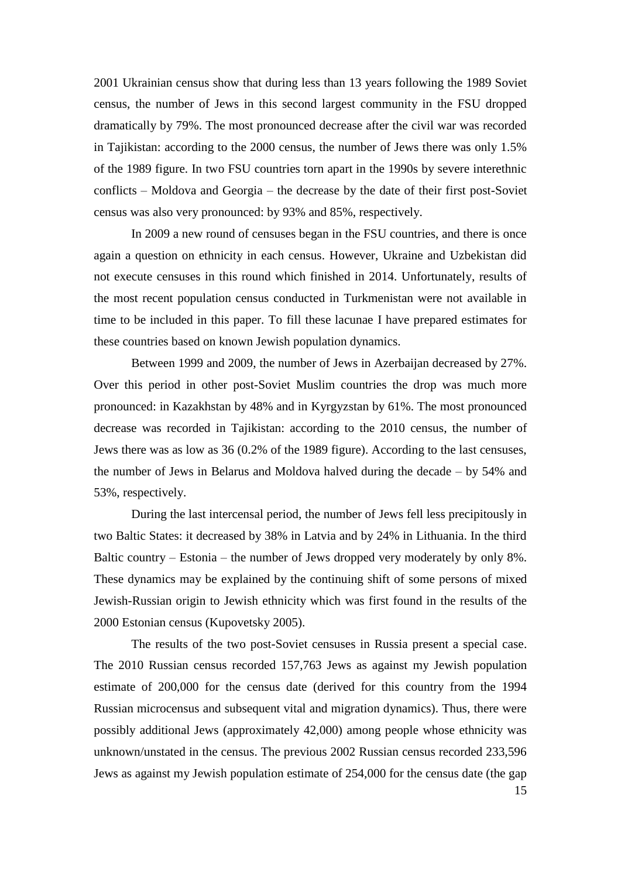2001 Ukrainian census show that during less than 13 years following the 1989 Soviet census, the number of Jews in this second largest community in the FSU dropped dramatically by 79%. The most pronounced decrease after the civil war was recorded in Tajikistan: according to the 2000 census, the number of Jews there was only 1.5% of the 1989 figure. In two FSU countries torn apart in the 1990s by severe interethnic conflicts – Moldova and Georgia – the decrease by the date of their first post-Soviet census was also very pronounced: by 93% and 85%, respectively.

In 2009 a new round of censuses began in the FSU countries, and there is once again a question on ethnicity in each census. However, Ukraine and Uzbekistan did not execute censuses in this round which finished in 2014. Unfortunately, results of the most recent population census conducted in Turkmenistan were not available in time to be included in this paper. To fill these lacunae I have prepared estimates for these countries based on known Jewish population dynamics.

Between 1999 and 2009, the number of Jews in Azerbaijan decreased by 27%. Over this period in other post-Soviet Muslim countries the drop was much more pronounced: in Kazakhstan by 48% and in Kyrgyzstan by 61%. The most pronounced decrease was recorded in Tajikistan: according to the 2010 census, the number of Jews there was as low as 36 (0.2% of the 1989 figure). According to the last censuses, the number of Jews in Belarus and Moldova halved during the decade – by 54% and 53%, respectively.

During the last intercensal period, the number of Jews fell less precipitously in two Baltic States: it decreased by 38% in Latvia and by 24% in Lithuania. In the third Baltic country – Estonia – the number of Jews dropped very moderately by only 8%. These dynamics may be explained by the continuing shift of some persons of mixed Jewish-Russian origin to Jewish ethnicity which was first found in the results of the 2000 Estonian census (Kupovetsky 2005).

15 The results of the two post-Soviet censuses in Russia present a special case. The 2010 Russian census recorded 157,763 Jews as against my Jewish population estimate of 200,000 for the census date (derived for this country from the 1994 Russian microcensus and subsequent vital and migration dynamics). Thus, there were possibly additional Jews (approximately 42,000) among people whose ethnicity was unknown/unstated in the census. The previous 2002 Russian census recorded 233,596 Jews as against my Jewish population estimate of 254,000 for the census date (the gap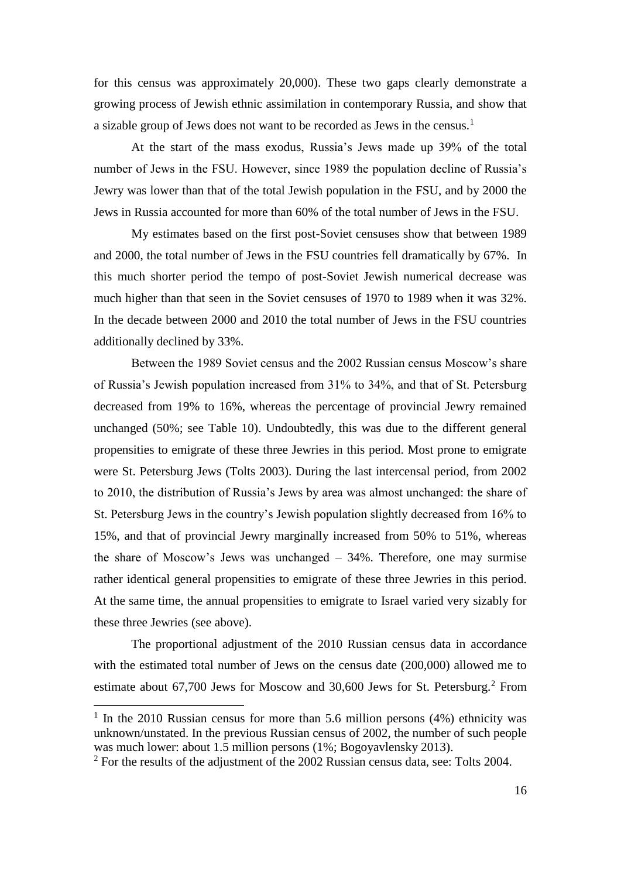for this census was approximately 20,000). These two gaps clearly demonstrate a growing process of Jewish ethnic assimilation in contemporary Russia, and show that a sizable group of Jews does not want to be recorded as Jews in the census.<sup>1</sup>

At the start of the mass exodus, Russia's Jews made up 39% of the total number of Jews in the FSU. However, since 1989 the population decline of Russia's Jewry was lower than that of the total Jewish population in the FSU, and by 2000 the Jews in Russia accounted for more than 60% of the total number of Jews in the FSU.

My estimates based on the first post-Soviet censuses show that between 1989 and 2000, the total number of Jews in the FSU countries fell dramatically by 67%. In this much shorter period the tempo of post-Soviet Jewish numerical decrease was much higher than that seen in the Soviet censuses of 1970 to 1989 when it was 32%. In the decade between 2000 and 2010 the total number of Jews in the FSU countries additionally declined by 33%.

Between the 1989 Soviet census and the 2002 Russian census Moscow's share of Russia's Jewish population increased from 31% to 34%, and that of St. Petersburg decreased from 19% to 16%, whereas the percentage of provincial Jewry remained unchanged (50%; see Table 10). Undoubtedly, this was due to the different general propensities to emigrate of these three Jewries in this period. Most prone to emigrate were St. Petersburg Jews (Tolts 2003). During the last intercensal period, from 2002 to 2010, the distribution of Russia's Jews by area was almost unchanged: the share of St. Petersburg Jews in the country's Jewish population slightly decreased from 16% to 15%, and that of provincial Jewry marginally increased from 50% to 51%, whereas the share of Moscow's Jews was unchanged – 34%. Therefore, one may surmise rather identical general propensities to emigrate of these three Jewries in this period. At the same time, the annual propensities to emigrate to Israel varied very sizably for these three Jewries (see above).

The proportional adjustment of the 2010 Russian census data in accordance with the estimated total number of Jews on the census date (200,000) allowed me to estimate about 67,700 Jews for Moscow and 30,600 Jews for St. Petersburg.<sup>2</sup> From

<u>.</u>

<sup>&</sup>lt;sup>1</sup> In the 2010 Russian census for more than 5.6 million persons (4%) ethnicity was unknown/unstated. In the previous Russian census of 2002, the number of such people was much lower: about 1.5 million persons (1%; Bogoyavlensky 2013).

 $2$  For the results of the adjustment of the 2002 Russian census data, see: Tolts 2004.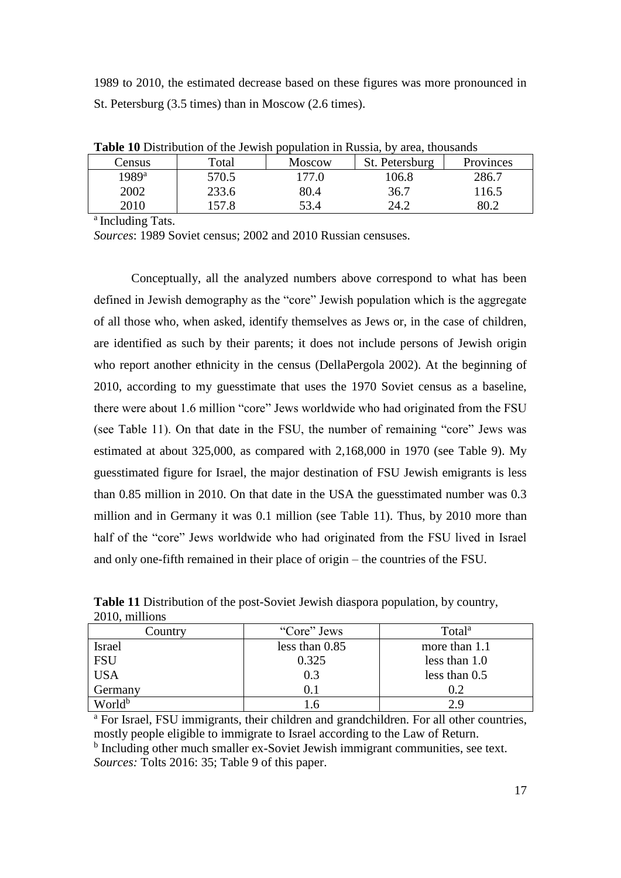1989 to 2010, the estimated decrease based on these figures was more pronounced in St. Petersburg (3.5 times) than in Moscow (2.6 times).

|                | <b>THOIC TO</b> DISTIGATOR OF THE JOW ISH POPURITION IN IMMSHIT, OV<br>arva, anvasanas |               |                |                  |  |  |  |  |
|----------------|----------------------------------------------------------------------------------------|---------------|----------------|------------------|--|--|--|--|
| Census         | Total                                                                                  | <b>Moscow</b> | St. Petersburg | <b>Provinces</b> |  |  |  |  |
| $1989^{\rm a}$ | 570.5                                                                                  | l 77.0        | 106.8          | 286.7            |  |  |  |  |
| 2002           | 233.6                                                                                  | 80.4          | 36.7           | 116.5            |  |  |  |  |
| 2010           | 157.8                                                                                  | 53.4          | 24.2           |                  |  |  |  |  |

**Table 10** Distribution of the Jewish population in Russia, by area, thousands

a Including Tats.

*Sources*: 1989 Soviet census; 2002 and 2010 Russian censuses.

Conceptually, all the analyzed numbers above correspond to what has been defined in Jewish demography as the "core" Jewish population which is the aggregate of all those who, when asked, identify themselves as Jews or, in the case of children, are identified as such by their parents; it does not include persons of Jewish origin who report another ethnicity in the census (DellaPergola 2002). At the beginning of 2010, according to my guesstimate that uses the 1970 Soviet census as a baseline, there were about 1.6 million "core" Jews worldwide who had originated from the FSU (see Table 11). On that date in the FSU, the number of remaining "core" Jews was estimated at about 325,000, as compared with 2,168,000 in 1970 (see Table 9). My guesstimated figure for Israel, the major destination of FSU Jewish emigrants is less than 0.85 million in 2010. On that date in the USA the guesstimated number was 0.3 million and in Germany it was 0.1 million (see Table 11). Thus, by 2010 more than half of the "core" Jews worldwide who had originated from the FSU lived in Israel and only one-fifth remained in their place of origin – the countries of the FSU.

| Country            | "Core" Jews      | Total <sup>a</sup> |
|--------------------|------------------|--------------------|
| <b>Israel</b>      | less than $0.85$ | more than 1.1      |
| <b>FSU</b>         | 0.325            | less than 1.0      |
| <b>USA</b>         | 0.3              | less than 0.5      |
| Germany            |                  | 0.2                |
| World <sup>b</sup> |                  | 2.9                |

**Table 11** Distribution of the post-Soviet Jewish diaspora population, by country, 2010, millions

<sup>a</sup> For Israel, FSU immigrants, their children and grandchildren. For all other countries, mostly people eligible to immigrate to Israel according to the Law of Return. <sup>b</sup> Including other much smaller ex-Soviet Jewish immigrant communities, see text. *Sources:* Tolts 2016: 35; Table 9 of this paper.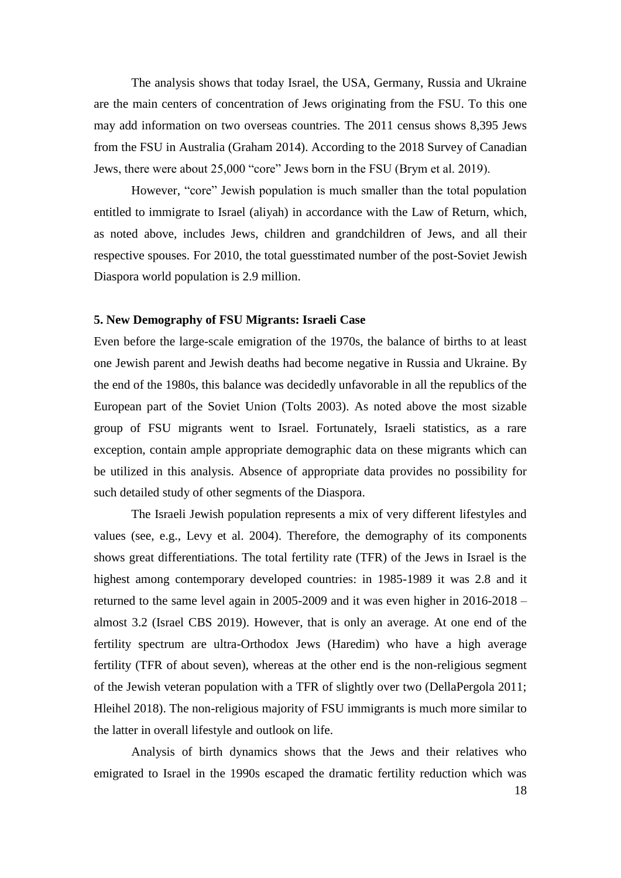The analysis shows that today Israel, the USA, Germany, Russia and Ukraine are the main centers of concentration of Jews originating from the FSU. To this one may add information on two overseas countries. The 2011 census shows 8,395 Jews from the FSU in Australia (Graham 2014). According to the 2018 Survey of Canadian Jews, there were about 25,000 "core" Jews born in the FSU (Brym et al. 2019).

However, "core" Jewish population is much smaller than the total population entitled to immigrate to Israel (aliyah) in accordance with the Law of Return, which, as noted above, includes Jews, children and grandchildren of Jews, and all their respective spouses. For 2010, the total guesstimated number of the post-Soviet Jewish Diaspora world population is 2.9 million.

#### **5. New Demography of FSU Migrants: Israeli Case**

Even before the large-scale emigration of the 1970s, the balance of births to at least one Jewish parent and Jewish deaths had become negative in Russia and Ukraine. By the end of the 1980s, this balance was decidedly unfavorable in all the republics of the European part of the Soviet Union (Tolts 2003). As noted above the most sizable group of FSU migrants went to Israel. Fortunately, Israeli statistics, as a rare exception, contain ample appropriate demographic data on these migrants which can be utilized in this analysis. Absence of appropriate data provides no possibility for such detailed study of other segments of the Diaspora.

The Israeli Jewish population represents a mix of very different lifestyles and values (see, e.g., Levy et al. 2004). Therefore, the demography of its components shows great differentiations. The total fertility rate (TFR) of the Jews in Israel is the highest among contemporary developed countries: in 1985-1989 it was 2.8 and it returned to the same level again in 2005-2009 and it was even higher in 2016-2018 – almost 3.2 (Israel CBS 2019). However, that is only an average. At one end of the fertility spectrum are ultra-Orthodox Jews (Haredim) who have a high average fertility (TFR of about seven), whereas at the other end is the non-religious segment of the Jewish veteran population with a TFR of slightly over two (DellaPergola 2011; Hleihel 2018). The non-religious majority of FSU immigrants is much more similar to the latter in overall lifestyle and outlook on life.

Analysis of birth dynamics shows that the Jews and their relatives who emigrated to Israel in the 1990s escaped the dramatic fertility reduction which was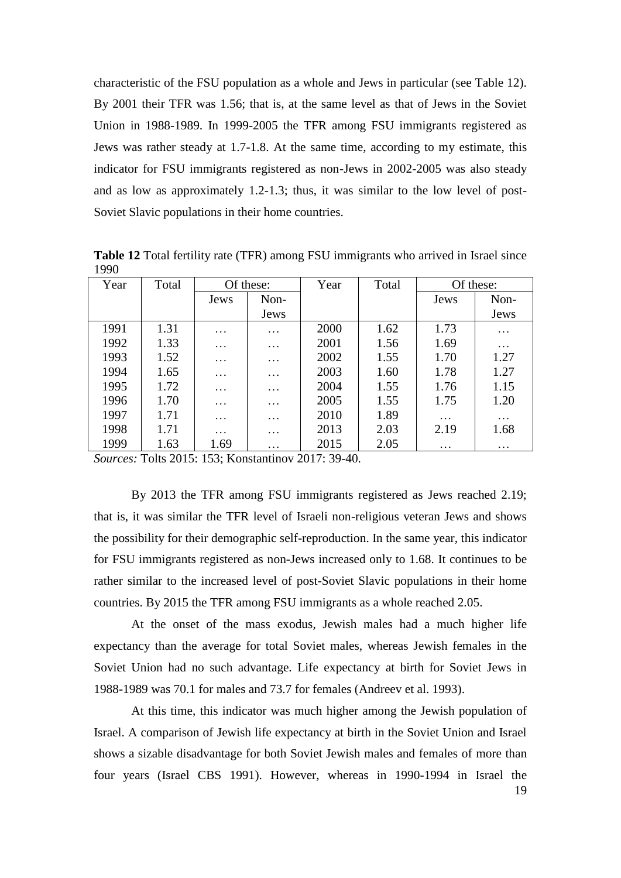characteristic of the FSU population as a whole and Jews in particular (see Table 12). By 2001 their TFR was 1.56; that is, at the same level as that of Jews in the Soviet Union in 1988-1989. In 1999-2005 the TFR among FSU immigrants registered as Jews was rather steady at 1.7-1.8. At the same time, according to my estimate, this indicator for FSU immigrants registered as non-Jews in 2002-2005 was also steady and as low as approximately 1.2-1.3; thus, it was similar to the low level of post-Soviet Slavic populations in their home countries.

| Year | Total | Of these: |                   | Year | Total |                   | Of these: |
|------|-------|-----------|-------------------|------|-------|-------------------|-----------|
|      |       | Jews      | Non-              |      |       | Jews              | Non-      |
|      |       |           | Jews              |      |       |                   | Jews      |
| 1991 | 1.31  | $\cdots$  | $\cdots$          | 2000 | 1.62  | 1.73              | $\cdots$  |
| 1992 | 1.33  | $\cdots$  | $\cdots$          | 2001 | 1.56  | 1.69              | $\cdots$  |
| 1993 | 1.52  | $\cdots$  | .                 | 2002 | 1.55  | 1.70              | 1.27      |
| 1994 | 1.65  | $\cdots$  | .                 | 2003 | 1.60  | 1.78              | 1.27      |
| 1995 | 1.72  | $\cdots$  | $\cdots$          | 2004 | 1.55  | 1.76              | 1.15      |
| 1996 | 1.70  | $\cdots$  | $\cdots$          | 2005 | 1.55  | 1.75              | 1.20      |
| 1997 | 1.71  | $\cdots$  | $\cdots$          | 2010 | 1.89  | $\ddots$          | $\cdots$  |
| 1998 | 1.71  | $\cdots$  | $\cdots$          | 2013 | 2.03  | 2.19              | 1.68      |
| 1999 | 1.63  | 1.69      | $\cdot\cdot\cdot$ | 2015 | 2.05  | $\cdot\cdot\cdot$ | $\cdots$  |

**Table 12** Total fertility rate (TFR) among FSU immigrants who arrived in Israel since 1990

*Sources:* Tolts 2015: 153; Konstantinov 2017: 39-40.

By 2013 the TFR among FSU immigrants registered as Jews reached 2.19; that is, it was similar the TFR level of Israeli non-religious veteran Jews and shows the possibility for their demographic self-reproduction. In the same year, this indicator for FSU immigrants registered as non-Jews increased only to 1.68. It continues to be rather similar to the increased level of post-Soviet Slavic populations in their home countries. By 2015 the TFR among FSU immigrants as a whole reached 2.05.

At the onset of the mass exodus, Jewish males had a much higher life expectancy than the average for total Soviet males, whereas Jewish females in the Soviet Union had no such advantage. Life expectancy at birth for Soviet Jews in 1988-1989 was 70.1 for males and 73.7 for females (Andreev et al. 1993).

19 At this time, this indicator was much higher among the Jewish population of Israel. A comparison of Jewish life expectancy at birth in the Soviet Union and Israel shows a sizable disadvantage for both Soviet Jewish males and females of more than four years (Israel CBS 1991). However, whereas in 1990-1994 in Israel the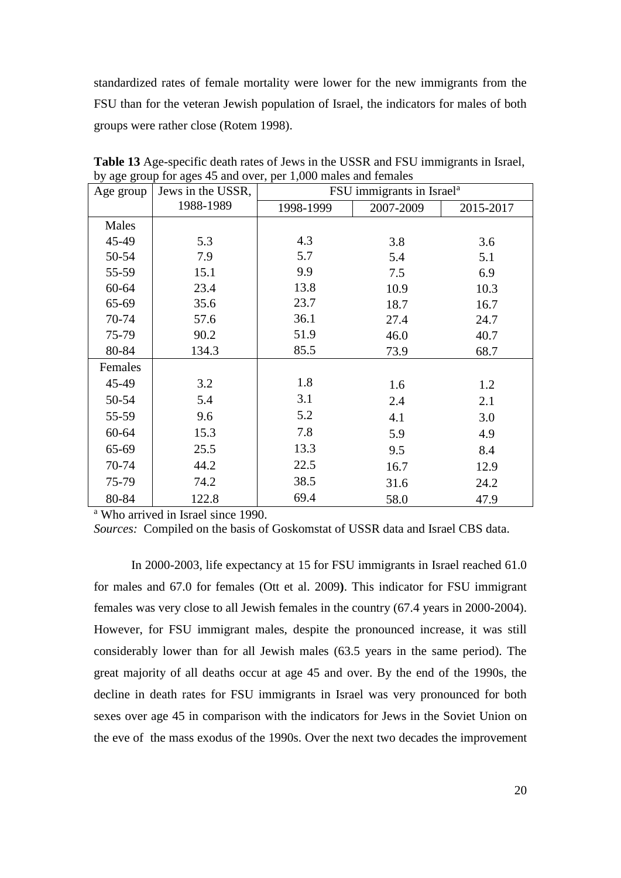standardized rates of female mortality were lower for the new immigrants from the FSU than for the veteran Jewish population of Israel, the indicators for males of both groups were rather close (Rotem 1998).

| Age group | Jews in the USSR, | FSU immigrants in Israel <sup>a</sup> |           |           |  |  |  |  |  |  |
|-----------|-------------------|---------------------------------------|-----------|-----------|--|--|--|--|--|--|
|           | 1988-1989         | 1998-1999                             | 2007-2009 | 2015-2017 |  |  |  |  |  |  |
| Males     |                   |                                       |           |           |  |  |  |  |  |  |
| 45-49     | 5.3               | 4.3                                   | 3.8       | 3.6       |  |  |  |  |  |  |
| 50-54     | 7.9               | 5.7                                   | 5.4       | 5.1       |  |  |  |  |  |  |
| 55-59     | 15.1              | 9.9                                   | 7.5       | 6.9       |  |  |  |  |  |  |
| $60 - 64$ | 23.4              | 13.8                                  | 10.9      | 10.3      |  |  |  |  |  |  |
| 65-69     | 35.6              | 23.7                                  | 18.7      | 16.7      |  |  |  |  |  |  |
| 70-74     | 57.6              | 36.1                                  | 27.4      | 24.7      |  |  |  |  |  |  |
| 75-79     | 90.2              | 51.9                                  | 46.0      | 40.7      |  |  |  |  |  |  |
| 80-84     | 134.3             | 85.5                                  | 73.9      | 68.7      |  |  |  |  |  |  |
| Females   |                   |                                       |           |           |  |  |  |  |  |  |
| 45-49     | 3.2               | 1.8                                   | 1.6       | 1.2       |  |  |  |  |  |  |
| 50-54     | 5.4               | 3.1                                   | 2.4       | 2.1       |  |  |  |  |  |  |
| 55-59     | 9.6               | 5.2                                   | 4.1       | 3.0       |  |  |  |  |  |  |
| $60 - 64$ | 15.3              | 7.8                                   | 5.9       | 4.9       |  |  |  |  |  |  |
| 65-69     | 25.5              | 13.3                                  | 9.5       | 8.4       |  |  |  |  |  |  |
| 70-74     | 44.2              | 22.5                                  | 16.7      | 12.9      |  |  |  |  |  |  |
| 75-79     | 74.2              | 38.5                                  | 31.6      | 24.2      |  |  |  |  |  |  |
| 80-84     | 122.8             | 69.4                                  | 58.0      | 47.9      |  |  |  |  |  |  |

**Table 13** Age-specific death rates of Jews in the USSR and FSU immigrants in Israel, by age group for ages 45 and over, per 1,000 males and females

<sup>a</sup> Who arrived in Israel since 1990.

*Sources:* Compiled on the basis of Goskomstat of USSR data and Israel CBS data.

In 2000-2003, life expectancy at 15 for FSU immigrants in Israel reached 61.0 for males and 67.0 for females (Ott et al. 2009**)**. This indicator for FSU immigrant females was very close to all Jewish females in the country (67.4 years in 2000-2004). However, for FSU immigrant males, despite the pronounced increase, it was still considerably lower than for all Jewish males (63.5 years in the same period). The great majority of all deaths occur at age 45 and over. By the end of the 1990s, the decline in death rates for FSU immigrants in Israel was very pronounced for both sexes over age 45 in comparison with the indicators for Jews in the Soviet Union on the eve of the mass exodus of the 1990s. Over the next two decades the improvement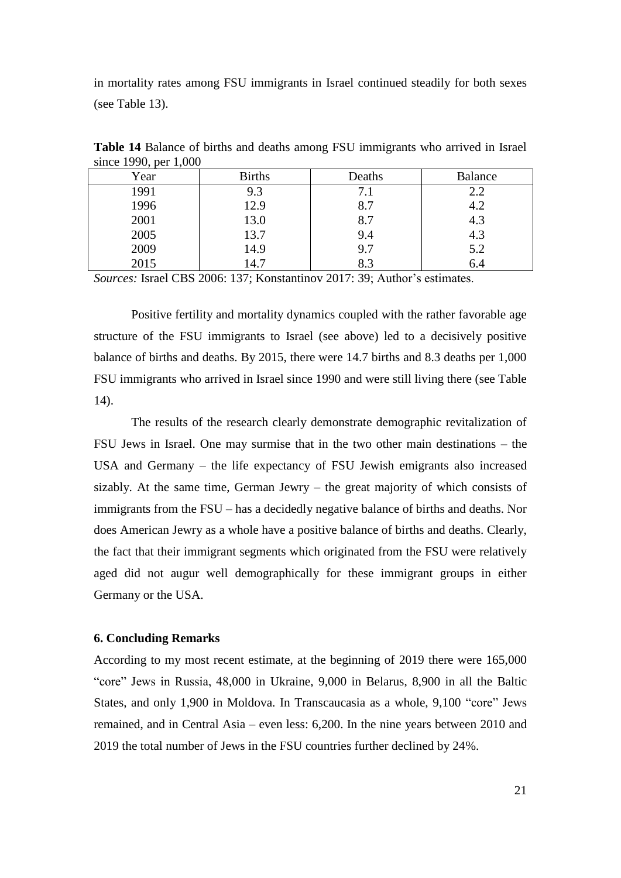in mortality rates among FSU immigrants in Israel continued steadily for both sexes (see Table 13).

| Year | <b>Births</b> | Deaths | <b>Balance</b> |
|------|---------------|--------|----------------|
| 1991 | 9.3           | 7.1    | 2.2            |
| 1996 | 12.9          | 8.7    | 4.2            |
| 2001 | 13.0          | 8.7    | 4.3            |
| 2005 | 13.7          | 9.4    | 4.3            |
| 2009 | 14.9          | 9.7    | 5.2            |
| 2015 | 14.7          | 8.3    | 6.4            |

**Table 14** Balance of births and deaths among FSU immigrants who arrived in Israel since 1990, per 1,000

*Sources:* Israel CBS 2006: 137; Konstantinov 2017: 39; Author's estimates.

Positive fertility and mortality dynamics coupled with the rather favorable age structure of the FSU immigrants to Israel (see above) led to a decisively positive balance of births and deaths. By 2015, there were 14.7 births and 8.3 deaths per 1,000 FSU immigrants who arrived in Israel since 1990 and were still living there (see Table 14).

The results of the research clearly demonstrate demographic revitalization of FSU Jews in Israel. One may surmise that in the two other main destinations – the USA and Germany – the life expectancy of FSU Jewish emigrants also increased sizably. At the same time, German Jewry – the great majority of which consists of immigrants from the FSU – has a decidedly negative balance of births and deaths. Nor does American Jewry as a whole have a positive balance of births and deaths. Clearly, the fact that their immigrant segments which originated from the FSU were relatively aged did not augur well demographically for these immigrant groups in either Germany or the USA.

#### **6. Concluding Remarks**

According to my most recent estimate, at the beginning of 2019 there were 165,000 "core" Jews in Russia, 48,000 in Ukraine, 9,000 in Belarus, 8,900 in all the Baltic States, and only 1,900 in Moldova. In Transcaucasia as a whole, 9,100 "core" Jews remained, and in Central Asia – even less: 6,200. In the nine years between 2010 and 2019 the total number of Jews in the FSU countries further declined by 24%.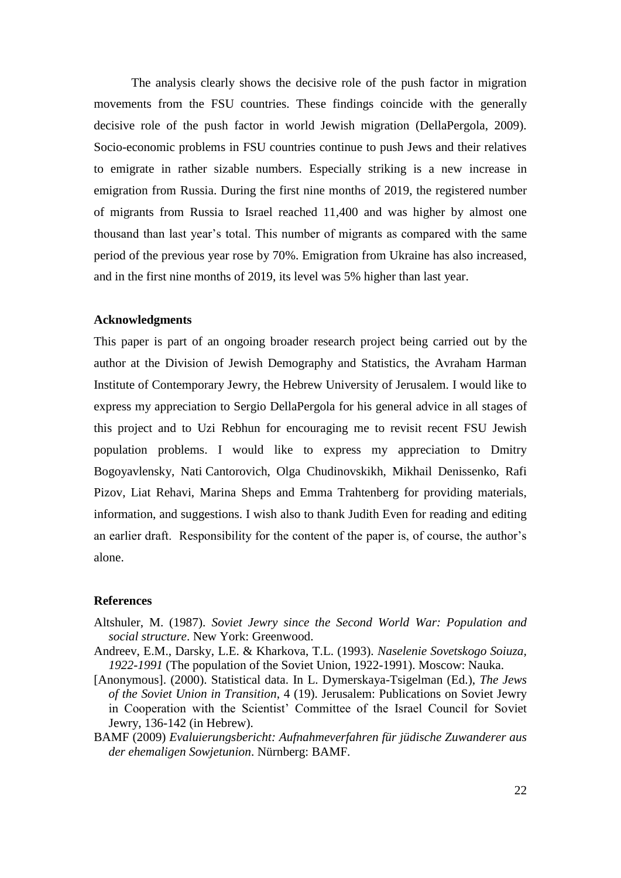The analysis clearly shows the decisive role of the push factor in migration movements from the FSU countries. These findings coincide with the generally decisive role of the push factor in world Jewish migration (DellaPergola, 2009). Socio-economic problems in FSU countries continue to push Jews and their relatives to emigrate in rather sizable numbers. Especially striking is a new increase in emigration from Russia. During the first nine months of 2019, the registered number of migrants from Russia to Israel reached 11,400 and was higher by almost one thousand than last year's total. This number of migrants as compared with the same period of the previous year rose by 70%. Emigration from Ukraine has also increased, and in the first nine months of 2019, its level was 5% higher than last year.

#### **Acknowledgments**

This paper is part of an ongoing broader research project being carried out by the author at the Division of Jewish Demography and Statistics, the Avraham Harman Institute of Contemporary Jewry, the Hebrew University of Jerusalem. I would like to express my appreciation to Sergio DellaPergola for his general advice in all stages of this project and to Uzi Rebhun for encouraging me to revisit recent FSU Jewish population problems. I would like to express my appreciation to Dmitry Bogoyavlensky, Nati Cantorovich, Olga Chudinovskikh, Mikhail Denissenko, Rafi Pizov, Liat Rehavi, Marina Sheps and Emma Trahtenberg for providing materials, information, and suggestions. I wish also to thank Judith Even for reading and editing an earlier draft. Responsibility for the content of the paper is, of course, the author's alone.

## **References**

- Altshuler, M. (1987). *Soviet Jewry since the Second World War: Population and social structure*. New York: Greenwood.
- Andreev, E.M., Darsky, L.E. & Kharkova, T.L. (1993). *Naselenie Sovetskogo Soiuza, 1922-1991* (The population of the Soviet Union, 1922-1991). Moscow: Nauka.
- [Anonymous]. (2000). Statistical data. In L. Dymerskaya-Tsigelman (Ed.), *The Jews of the Soviet Union in Transition*, 4 (19). Jerusalem: Publications on Soviet Jewry in Cooperation with the Scientist' Committee of the Israel Council for Soviet Jewry, 136-142 (in Hebrew).
- BAMF (2009) *Evaluierungsbericht: Aufnahmeverfahren für jüdische Zuwanderer aus der ehemaligen Sowjetunion*. Nürnberg: BAMF.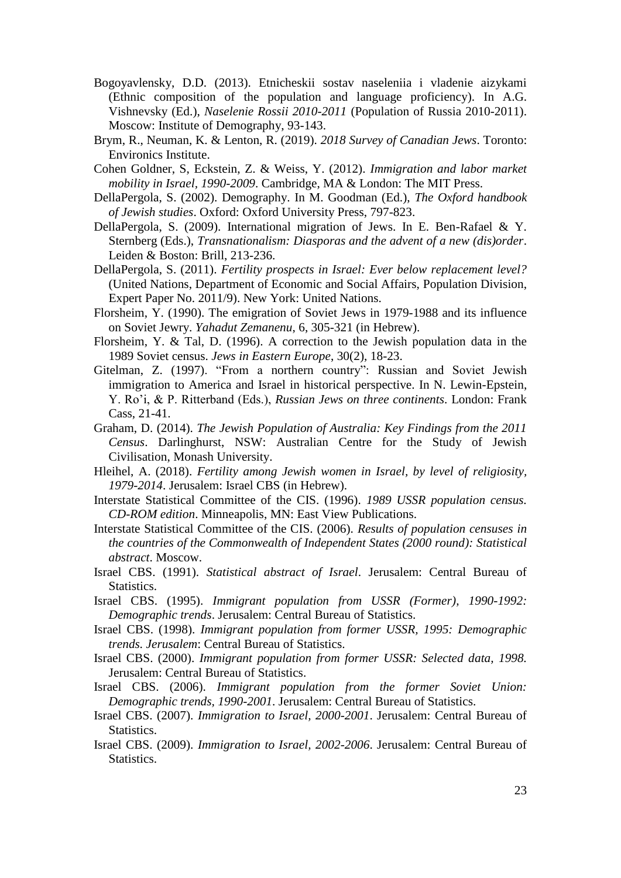- Bogoyavlensky, D.D. (2013). Etnicheskii sostav naseleniia i vladenie aizykami (Ethnic composition of the population and language proficiency). In A.G. Vishnevsky (Ed.), *Naselenie Rossii 2010-2011* (Population of Russia 2010-2011). Moscow: Institute of Demography, 93-143.
- Brym, R., Neuman, K. & Lenton, R. (2019). *2018 Survey of Canadian Jews*. Toronto: Environics Institute.
- Cohen Goldner, S, Eckstein, Z. & Weiss, Y. (2012). *Immigration and labor market mobility in Israel, 1990-2009*. Cambridge, MA & London: The MIT Press.
- DellaPergola, S. (2002). Demography. In M. Goodman (Ed.), *The Oxford handbook of Jewish studies*. Oxford: Oxford University Press, 797-823.
- DellaPergola, S. (2009). International migration of Jews. In E. Ben-Rafael & Y. Sternberg (Eds.), *Transnationalism: Diasporas and the advent of a new (dis)order*. Leiden & Boston: Brill, 213-236.
- DellaPergola, S. (2011). *Fertility prospects in Israel: Ever below replacement level?* (United Nations, Department of Economic and Social Affairs, Population Division, Expert Paper No. 2011/9). New York: United Nations.
- Florsheim, Y. (1990). The emigration of Soviet Jews in 1979-1988 and its influence on Soviet Jewry. *Yahadut Zemanenu*, 6, 305-321 (in Hebrew).
- Florsheim, Y. & Tal, D. (1996). A correction to the Jewish population data in the 1989 Soviet census. *Jews in Eastern Europe*, 30(2), 18-23.
- Gitelman, Z. (1997). "From a northern country": Russian and Soviet Jewish immigration to America and Israel in historical perspective. In N. Lewin-Epstein, Y. Ro'i, & P. Ritterband (Eds.), *Russian Jews on three continents*. London: Frank Cass, 21-41.
- Graham, D. (2014). *The Jewish Population of Australia: Key Findings from the 2011 Census*. Darlinghurst, NSW: Australian Centre for the Study of Jewish Civilisation, Monash University.
- Hleihel, A. (2018). *Fertility among Jewish women in Israel, by level of religiosity, 1979-2014*. Jerusalem: Israel CBS (in Hebrew).
- Interstate Statistical Committee of the CIS. (1996). *1989 USSR population census. CD-ROM edition*. Minneapolis, MN: East View Publications.
- Interstate Statistical Committee of the CIS. (2006). *Results of population censuses in the countries of the Commonwealth of Independent States (2000 round): Statistical abstract*. Moscow.
- Israel CBS. (1991). *Statistical abstract of Israel*. Jerusalem: Central Bureau of Statistics.
- Israel CBS. (1995). *Immigrant population from USSR (Former), 1990-1992: Demographic trends*. Jerusalem: Central Bureau of Statistics.
- Israel CBS. (1998). *Immigrant population from former USSR, 1995: Demographic trends. Jerusalem*: Central Bureau of Statistics.
- Israel CBS. (2000). *Immigrant population from former USSR: Selected data, 1998.* Jerusalem: Central Bureau of Statistics.
- Israel CBS. (2006). *Immigrant population from the former Soviet Union: Demographic trends, 1990-2001*. Jerusalem: Central Bureau of Statistics.
- Israel CBS. (2007). *Immigration to Israel, 2000-2001*. Jerusalem: Central Bureau of Statistics.
- Israel CBS. (2009). *Immigration to Israel, 2002-2006*. Jerusalem: Central Bureau of Statistics.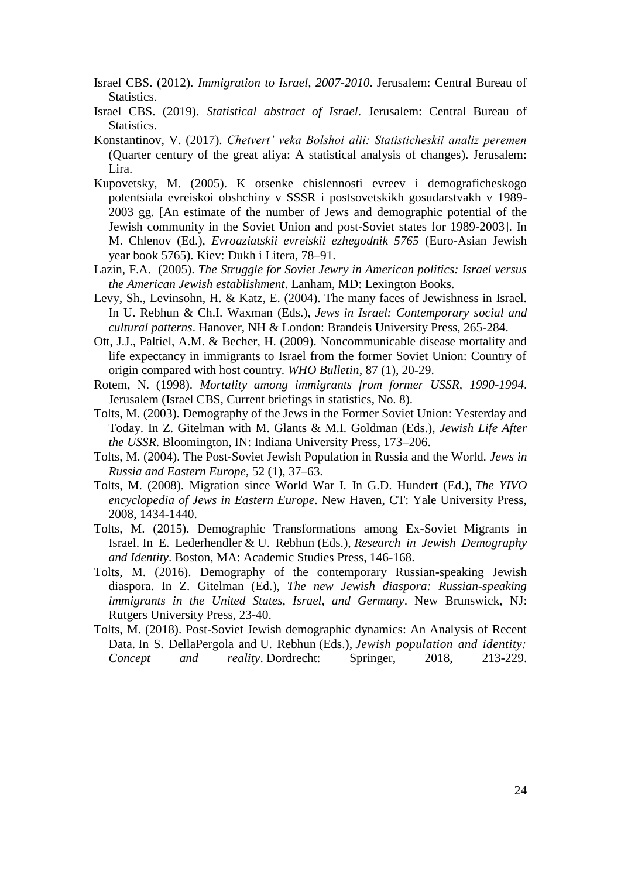- Israel CBS. (2012). *Immigration to Israel, 2007-2010*. Jerusalem: Central Bureau of Statistics.
- Israel CBS. (2019). *Statistical abstract of Israel*. Jerusalem: Central Bureau of Statistics.
- Konstantinov, V. (2017). *Chetvert' veka Bolshoi alii: Statisticheskii analiz peremen* (Quarter century of the great aliya: A statistical analysis of changes). Jerusalem: Lira.
- Kupovetsky, M. (2005). K otsenke chislennosti evreev i demograficheskogo potentsiala evreiskoi obshchiny v SSSR i postsovetskikh gosudarstvakh v 1989- 2003 gg. [An estimate of the number of Jews and demographic potential of the Jewish community in the Soviet Union and post-Soviet states for 1989-2003]. In M. Chlenov (Ed.), *Evroaziatskii evreiskii ezhegodnik 5765* (Euro-Asian Jewish year book 5765). Kiev: Dukh i Litera, 78–91.
- Lazin, F.A. (2005). *The Struggle for Soviet Jewry in American politics: Israel versus the American Jewish establishment*. Lanham, MD: Lexington Books.
- Levy, Sh., Levinsohn, H. & Katz, E. (2004). The many faces of Jewishness in Israel. In U. Rebhun & Ch.I. Waxman (Eds.), *Jews in Israel: Contemporary social and cultural patterns*. Hanover, NH & London: Brandeis University Press, 265-284.
- Ott, J.J., Paltiel, A.M. & Becher, H. (2009). Noncommunicable disease mortality and life expectancy in immigrants to Israel from the former Soviet Union: Country of origin compared with host country. *WHO Bulletin*, 87 (1), 20-29.
- Rotem, N. (1998). *Mortality among immigrants from former USSR, 1990-1994*. Jerusalem (Israel CBS, Current briefings in statistics, No. 8).
- Tolts, M. (2003). Demography of the Jews in the Former Soviet Union: Yesterday and Today. In Z. Gitelman with M. Glants & M.I. Goldman (Eds.), *Jewish Life After the USSR*. Bloomington, IN: Indiana University Press, 173–206.
- Tolts, M. (2004). The Post-Soviet Jewish Population in Russia and the World. *Jews in Russia and Eastern Europe*, 52 (1), 37–63.
- Tolts, M. (2008). Migration since World War I. In G.D. Hundert (Ed.), *The YIVO encyclopedia of Jews in Eastern Europe*. New Haven, CT: Yale University Press, 2008, 1434-1440.
- Tolts, M. (2015). Demographic Transformations among Ex-Soviet Migrants in Israel. In E. Lederhendler & U. Rebhun (Eds.), *Research in Jewish Demography and Identity*. Boston, MA: Academic Studies Press, 146-168.
- Tolts, M. (2016). Demography of the contemporary Russian-speaking Jewish diaspora. In Z. Gitelman (Ed.), *The new Jewish diaspora: Russian-speaking immigrants in the United States, Israel, and Germany*. New Brunswick, NJ: Rutgers University Press, 23-40.
- Tolts, M. (2018). Post-Soviet Jewish demographic dynamics: An Analysis of Recent Data. In S. DellaPergola and U. Rebhun (Eds.), *Jewish population and identity: Concept and reality*. Dordrecht: Springer, 2018, 213-229.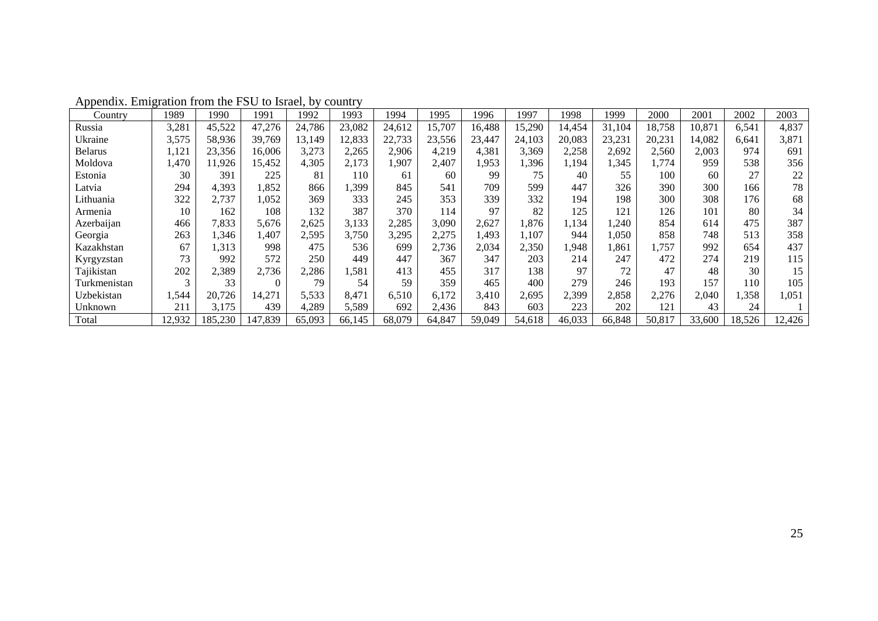| Country        | 1989   | 1990    | 1991    | 1992   | 1993   | 1994   | 1995   | 1996   | 1997   | 1998   | 1999   | 2000   | 2001   | 2002   | 2003   |
|----------------|--------|---------|---------|--------|--------|--------|--------|--------|--------|--------|--------|--------|--------|--------|--------|
| Russia         | 3,281  | 45,522  | 47,276  | 24,786 | 23,082 | 24.612 | 15,707 | 16,488 | 15,290 | 14,454 | 31,104 | 18,758 | 10,871 | 6,541  | 4,837  |
| Ukraine        | 3,575  | 58,936  | 39,769  | 13,149 | 12,833 | 22,733 | 23,556 | 23,447 | 24,103 | 20,083 | 23,231 | 20,231 | 14,082 | 6,641  | 3,871  |
| <b>Belarus</b> | 1,121  | 23,356  | 16,006  | 3,273  | 2,265  | 2,906  | 4,219  | 4,381  | 3,369  | 2,258  | 2,692  | 2,560  | 2,003  | 974    | 691    |
| Moldova        | 1,470  | 11,926  | 15,452  | 4,305  | 2,173  | ,907   | 2,407  | 1,953  | 1,396  | 1,194  | 1,345  | 1,774  | 959    | 538    | 356    |
| Estonia        | 30     | 391     | 225     | 81     | 110    | 61     | 60     | 99     | 75     | 40     | 55     | 100    | 60     | 27     | 22     |
| Latvia         | 294    | 4,393   | 1,852   | 866    | ,399   | 845    | 541    | 709    | 599    | 447    | 326    | 390    | 300    | 166    | 78     |
| Lithuania      | 322    | 2,737   | 1,052   | 369    | 333    | 245    | 353    | 339    | 332    | 194    | 198    | 300    | 308    | 176    | 68     |
| Armenia        | 10     | 162     | 108     | 132    | 387    | 370    | 114    | 97     | 82     | 125    | 121    | 126    | 101    | 80     | 34     |
| Azerbaijan     | 466    | 7,833   | 5,676   | 2,625  | 3,133  | 2,285  | 3,090  | 2,627  | 1,876  | 1,134  | ,240   | 854    | 614    | 475    | 387    |
| Georgia        | 263    | 1,346   | 1,407   | 2,595  | 3,750  | 3,295  | 2,275  | 1,493  | 1,107  | 944    | ,050   | 858    | 748    | 513    | 358    |
| Kazakhstan     | 67     | 1,313   | 998     | 475    | 536    | 699    | 2,736  | 2,034  | 2,350  | 1,948  | ,861   | .,757  | 992    | 654    | 437    |
| Kyrgyzstan     | 73     | 992     | 572     | 250    | 449    | 447    | 367    | 347    | 203    | 214    | 247    | 472    | 274    | 219    | 115    |
| Tajikistan     | 202    | 2,389   | 2,736   | 2,286  | 1,581  | 413    | 455    | 317    | 138    | 97     | 72     | 47     | 48     | 30     | 15     |
| Turkmenistan   | 3      | 33      |         | 79     | 54     | 59     | 359    | 465    | 400    | 279    | 246    | 193    | 157    | 110    | 105    |
| Uzbekistan     | 1,544  | 20,726  | 14,271  | 5,533  | 8,471  | 6,510  | 6,172  | 3,410  | 2,695  | 2,399  | 2,858  | 2,276  | 2,040  | ,358   | 1,051  |
| Unknown        | 211    | 3,175   | 439     | 4,289  | 5,589  | 692    | 2,436  | 843    | 603    | 223    | 202    | 121    | 43     | 24     |        |
| Total          | 12,932 | 185,230 | 147,839 | 65,093 | 66,145 | 68,079 | 64,847 | 59,049 | 54,618 | 46,033 | 66,848 | 50,817 | 33,600 | 18,526 | 12,426 |

Appendix. Emigration from the FSU to Israel, by country